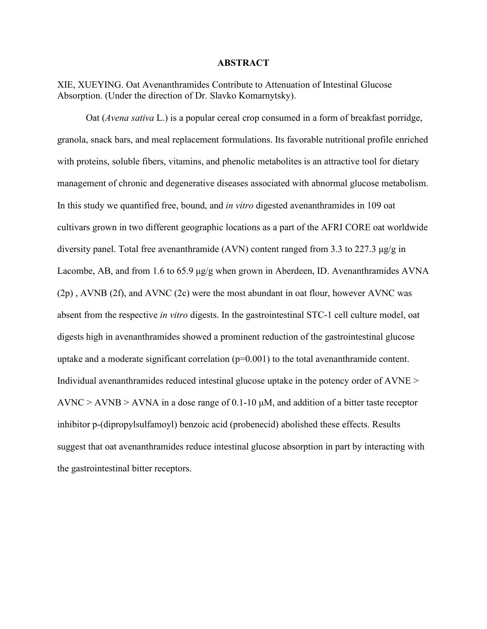#### **ABSTRACT**

XIE, XUEYING. Oat Avenanthramides Contribute to Attenuation of Intestinal Glucose Absorption. (Under the direction of Dr.Slavko Komarnytsky).

Oat (*Avena sativa* L.) is a popular cereal crop consumed in a form of breakfast porridge, granola, snack bars, and meal replacement formulations. Its favorable nutritional profile enriched with proteins, soluble fibers, vitamins, and phenolic metabolites is an attractive tool for dietary management of chronic and degenerative diseases associated with abnormal glucose metabolism. In this study we quantified free, bound, and *in vitro* digested avenanthramides in 109 oat cultivars grown in two different geographic locations as a part of the AFRI CORE oat worldwide diversity panel. Total free avenanthramide (AVN) content ranged from 3.3 to 227.3 μg/g in Lacombe, AB, and from 1.6 to 65.9 μg/g when grown in Aberdeen, ID. Avenanthramides AVNA (2p) , AVNB (2f), and AVNC (2c) were the most abundant in oat flour, however AVNC was absent from the respective *in vitro* digests. In the gastrointestinal STC-1 cell culture model, oat digests high in avenanthramides showed a prominent reduction of the gastrointestinal glucose uptake and a moderate significant correlation (p=0.001) to the total avenanthramide content. Individual avenanthramides reduced intestinal glucose uptake in the potency order of AVNE >  $AVNC > AVNB > AVNA$  in a dose range of 0.1-10  $\mu$ M, and addition of a bitter taste receptor inhibitor p-(dipropylsulfamoyl) benzoic acid (probenecid) abolished these effects. Results suggest that oat avenanthramides reduce intestinal glucose absorption in part by interacting with the gastrointestinal bitter receptors.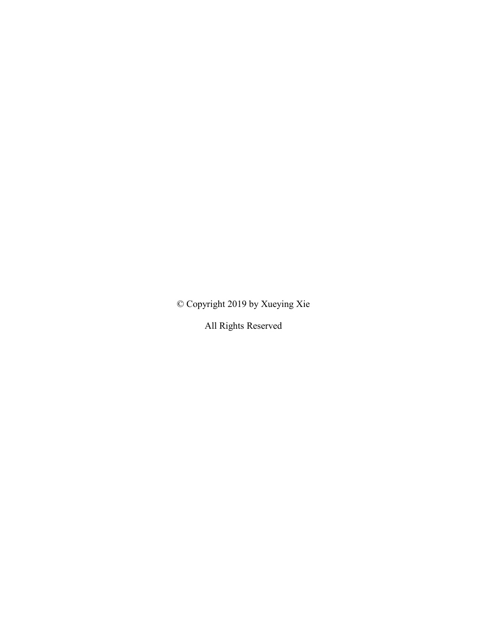© Copyright 2019 by Xueying Xie

All Rights Reserved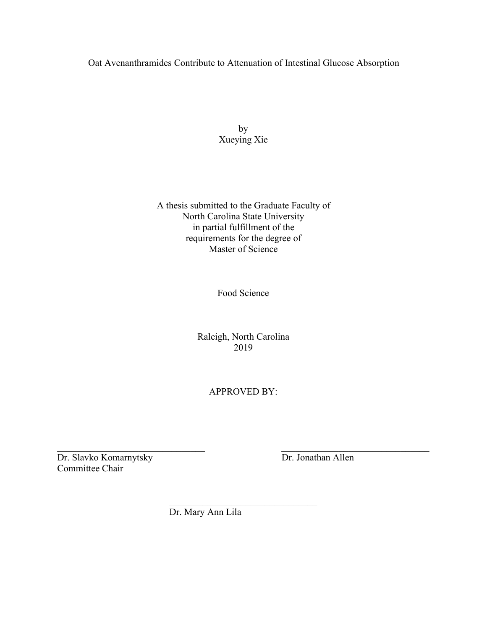## Oat Avenanthramides Contribute to Attenuation of Intestinal Glucose Absorption

by Xueying Xie

A thesis submitted to the Graduate Faculty of North Carolina State University in partial fulfillment of the requirements for the degree of Master of Science

Food Science

Raleigh, North Carolina 2019

APPROVED BY:

 $\mathcal{L}_\text{max}$  , and the contribution of the contribution of the contribution of the contribution of the contribution of the contribution of the contribution of the contribution of the contribution of the contribution of t Dr. Slavko Komarnytsky Dr. Jonathan Allen Committee Chair

 $\mathcal{L}_\text{max}$  and  $\mathcal{L}_\text{max}$  and  $\mathcal{L}_\text{max}$  and  $\mathcal{L}_\text{max}$ 

Dr. Mary Ann Lila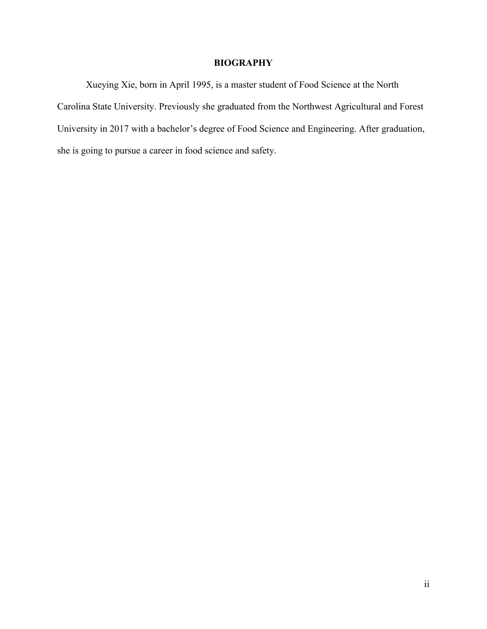## **BIOGRAPHY**

Xueying Xie, born in April 1995, is a master student of Food Science at the North Carolina State University. Previously she graduated from the Northwest Agricultural and Forest University in 2017 with a bachelor's degree of Food Science and Engineering. After graduation, she is going to pursue a career in food science and safety.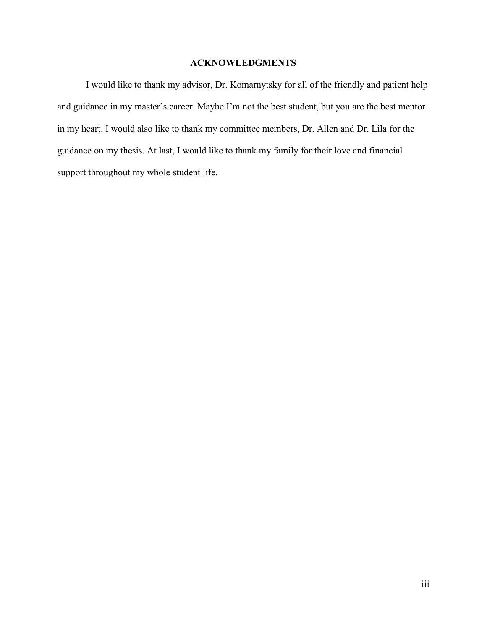## **ACKNOWLEDGMENTS**

I would like to thank my advisor, Dr. Komarnytsky for all of the friendly and patient help and guidance in my master's career. Maybe I'm not the best student, but you are the best mentor in my heart. I would also like to thank my committee members, Dr. Allen and Dr. Lila for the guidance on my thesis. At last, I would like to thank my family for their love and financial support throughout my whole student life.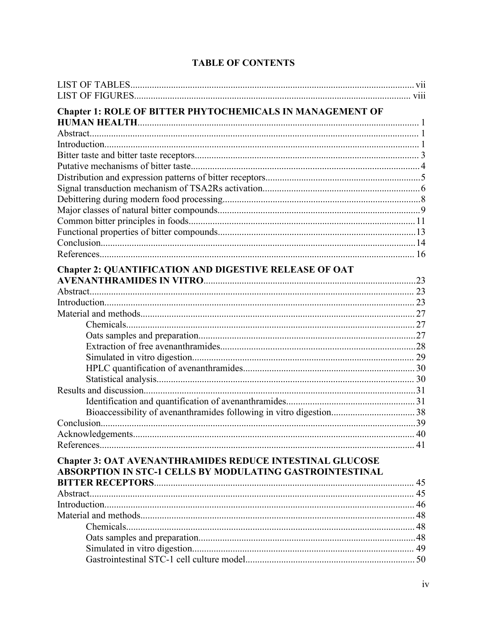| <b>Chapter 1: ROLE OF BITTER PHYTOCHEMICALS IN MANAGEMENT OF</b> |  |
|------------------------------------------------------------------|--|
|                                                                  |  |
|                                                                  |  |
|                                                                  |  |
|                                                                  |  |
|                                                                  |  |
|                                                                  |  |
|                                                                  |  |
|                                                                  |  |
|                                                                  |  |
|                                                                  |  |
|                                                                  |  |
|                                                                  |  |
| <b>Chapter 2: QUANTIFICATION AND DIGESTIVE RELEASE OF OAT</b>    |  |
|                                                                  |  |
|                                                                  |  |
|                                                                  |  |
|                                                                  |  |
|                                                                  |  |
|                                                                  |  |
|                                                                  |  |
|                                                                  |  |
|                                                                  |  |
|                                                                  |  |
|                                                                  |  |
|                                                                  |  |
|                                                                  |  |
|                                                                  |  |
|                                                                  |  |
|                                                                  |  |
| <b>Chapter 3: OAT AVENANTHRAMIDES REDUCE INTESTINAL GLUCOSE</b>  |  |
| ABSORPTION IN STC-1 CELLS BY MODULATING GASTROINTESTINAL         |  |
|                                                                  |  |
|                                                                  |  |
|                                                                  |  |
|                                                                  |  |
|                                                                  |  |
|                                                                  |  |
|                                                                  |  |
|                                                                  |  |

# **TABLE OF CONTENTS**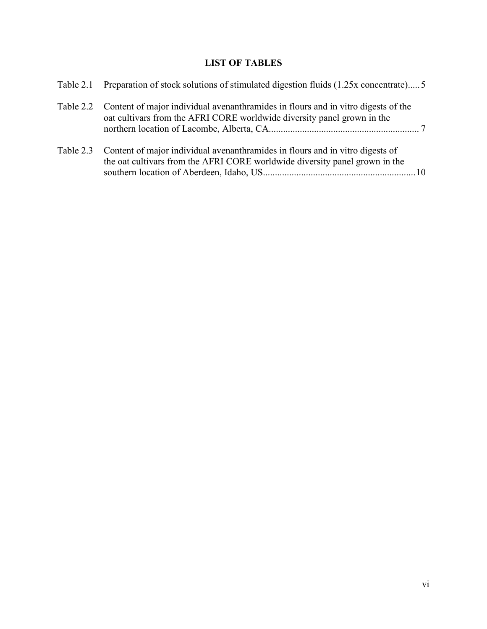# **LIST OF TABLES**

| Table 2.1 Preparation of stock solutions of stimulated digestion fluids (1.25x concentrate) 5                                                                          |  |
|------------------------------------------------------------------------------------------------------------------------------------------------------------------------|--|
| Table 2.2 Content of major individual avenanthramides in flours and in vitro digests of the<br>oat cultivars from the AFRI CORE worldwide diversity panel grown in the |  |
| Table 2.3 Content of major individual avenanthramides in flours and in vitro digests of<br>the oat cultivars from the AFRI CORE worldwide diversity panel grown in the |  |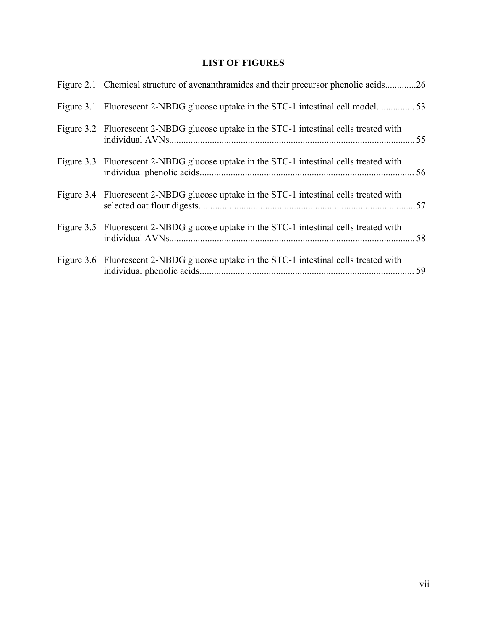# **LIST OF FIGURES**

| Figure 2.1 Chemical structure of avenanthramides and their precursor phenolic acids26   |  |
|-----------------------------------------------------------------------------------------|--|
|                                                                                         |  |
| Figure 3.2 Fluorescent 2-NBDG glucose uptake in the STC-1 intestinal cells treated with |  |
| Figure 3.3 Fluorescent 2-NBDG glucose uptake in the STC-1 intestinal cells treated with |  |
| Figure 3.4 Fluorescent 2-NBDG glucose uptake in the STC-1 intestinal cells treated with |  |
| Figure 3.5 Fluorescent 2-NBDG glucose uptake in the STC-1 intestinal cells treated with |  |
| Figure 3.6 Fluorescent 2-NBDG glucose uptake in the STC-1 intestinal cells treated with |  |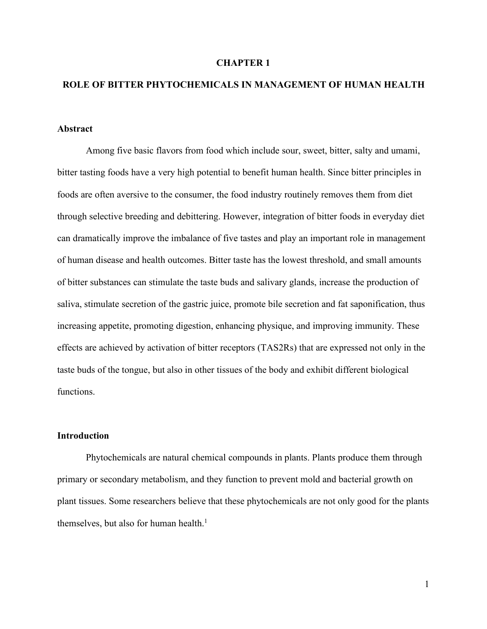#### **CHAPTER 1**

## **ROLE OF BITTER PHYTOCHEMICALS IN MANAGEMENT OF HUMAN HEALTH**

#### **Abstract**

Among five basic flavors from food which include sour, sweet, bitter, salty and umami, bitter tasting foods have a very high potential to benefit human health. Since bitter principles in foods are often aversive to the consumer, the food industry routinely removes them from diet through selective breeding and debittering. However, integration of bitter foods in everyday diet can dramatically improve the imbalance of five tastes and play an important role in management of human disease and health outcomes. Bitter taste has the lowest threshold, and small amounts of bitter substances can stimulate the taste buds and salivary glands, increase the production of saliva, stimulate secretion of the gastric juice, promote bile secretion and fat saponification, thus increasing appetite, promoting digestion, enhancing physique, and improving immunity. These effects are achieved by activation of bitter receptors (TAS2Rs) that are expressed not only in the taste buds of the tongue, but also in other tissues of the body and exhibit different biological functions.

#### **Introduction**

Phytochemicals are natural chemical compounds in plants. Plants produce them through primary or secondary metabolism, and they function to preventmold and bacterial growth on plant tissues. Some researchers believe that these phytochemicals are not only good for the plants themselves, but also for human health.<sup>1</sup>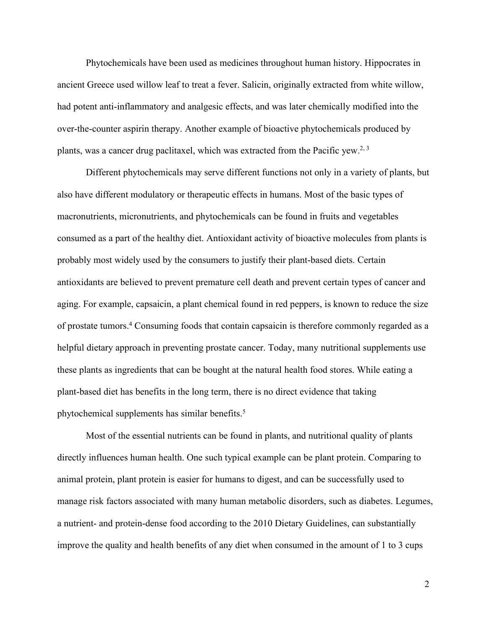Phytochemicals have been used as medicines throughout human history. Hippocrates in ancient Greece used willow leaf to treat a fever. Salicin, originally extracted from white willow, had potent anti-inflammatory and analgesic effects, and was later chemically modified into the over-the-counter aspirin therapy. Another example of bioactive phytochemicals produced by plants, was a cancer drug paclitaxel, which was extracted from the Pacific yew.<sup>2, 3</sup>

Different phytochemicals may serve different functions not only in a variety of plants, but also have different modulatory or therapeutic effects in humans. Most of the basic types of macronutrients, micronutrients, and phytochemicals can be found in fruits and vegetables consumed as a part of the healthy diet. Antioxidant activity of bioactive molecules from plants is probably most widely used by the consumers to justify their plant-based diets. Certain antioxidants are believed to prevent premature cell death and prevent certain types of cancer and aging. For example, capsaicin, a plant chemical found in red peppers, is known to reduce the size of prostate tumors.<sup>4</sup> Consuming foods that contain capsaicin is therefore commonly regarded as a helpful dietary approach in preventing prostate cancer. Today, many nutritional supplements use these plants as ingredients that can be bought at the natural health food stores. While eating a plant-based diet has benefits in the long term, there is no direct evidence that taking phytochemical supplements has similar benefits.<sup>5</sup>

Most of the essential nutrients can be found in plants, and nutritional quality of plants directly influences human health. One such typical example can be plant protein. Comparing to animal protein, plant protein is easier for humans to digest, and can be successfully used to manage risk factors associated with many human metabolic disorders, such as diabetes. Legumes, a nutrient- and protein-dense food according to the 2010 Dietary Guidelines, can substantially improve the quality and health benefits of any diet when consumed in the amount of  $1$  to  $3$  cups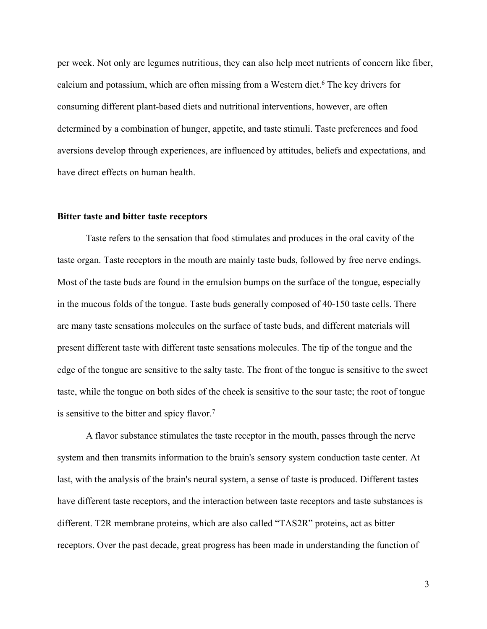per week. Not only are legumes nutritious, they can also help meet nutrients of concern like fiber, calcium and potassium, which are often missing from a Western diet.<sup>6</sup> The key drivers for consuming different plant-based diets and nutritional interventions, however, are often determined by a combination of hunger, appetite, and taste stimuli. Taste preferences and food aversions develop through experiences, are influenced by attitudes, beliefs and expectations, and have direct effects on human health.

#### **Bitter taste and bitter taste receptors**

Taste refers to the sensation that food stimulates and produces in the oral cavity of the taste organ. Taste receptors in the mouth are mainly taste buds, followed by free nerve endings.<br>Most of the taste buds are found in the emulsion bumps on the surface of the tongue, especially in the mucous folds of the tongue. Taste buds generally composed of 40-150 taste cells. There are many taste sensations molecules on the surface of taste buds, and different materials will present different taste with different taste sensations molecules. The tip of the tongue and the edge of the tongue are sensitive to the salty taste. The front of the tongue is sensitive to the sweet taste, while the tongue on both sides of the cheek is sensitive to the sour taste; the root of tongue is sensitive to the bitter and spicy flavor.<sup>7</sup>

A flavor substance stimulates the taste receptor in the mouth, passes through the nerve system and then transmits information to the brain's sensory system conduction taste center. At last, with the analysis of the brain's neural system, a sense of taste is produced. Different tastes have different taste receptors, and the interaction between taste receptors and taste substances is different. T2R membrane proteins, which are also called "TAS2R" proteins, act as bitter receptors. Over the past decade, great progress has been made in understanding the function of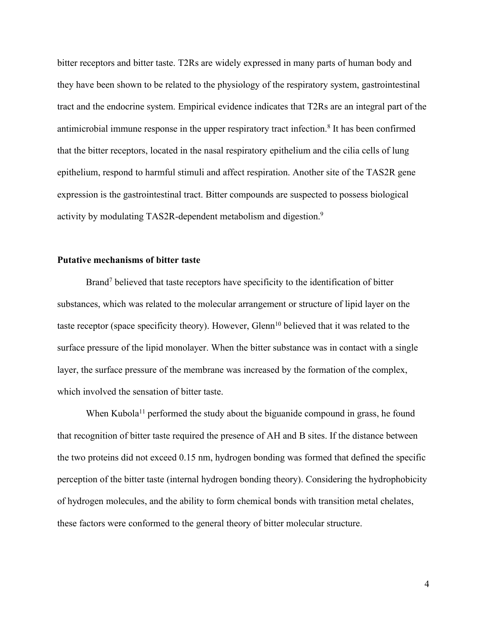bitter receptors and bitter taste. T2Rs are widely expressed in many partsof human body and they have been shown to be related to the physiology of the respiratory system, gastrointestinal tract and the endocrine system. Empirical evidence indicates that T2Rs are an integral part of the antimicrobial immune response in the upper respiratory tract infection.<sup>8</sup> It has been confirmed that the bitter receptors, located in the nasal respiratory epithelium and the cilia cells of lung epithelium, respond to harmful stimuli and affect respiration. Another site of the TAS2R gene expression is the gastrointestinal tract. Bitter compounds are suspected to possess biological activity by modulating TAS2R-dependent metabolism and digestion.<sup>9</sup>

#### **Putative mechanisms of bitter taste**

Brand<sup>7</sup> believed that taste receptors have specificity to the identification of bitter substances, which was related to the molecular arrangement or structure of lipid layer on the taste receptor (space specificity theory). However, Glenn <sup>10</sup> believed that it was related to the surface pressure of the lipid monolayer. When the bitter substance was in contact with a single layer, the surface pressure of the membrane was increased by the formation of the complex, which involved the sensation of bitter taste.

When Kubola<sup>11</sup> performed the study about the biguanide compound in grass, he found that recognition of bitter taste required the presence of AH and B sites. If the distance between the two proteins did not exceed 0.15 nm, hydrogen bonding was formed that defined the specific perception of the bitter taste (internal hydrogen bonding theory). Considering the hydrophobicity of hydrogen molecules, and the ability to form chemical bonds with transition metal chelates, these factors were conformed to the general theory of bitter molecular structure.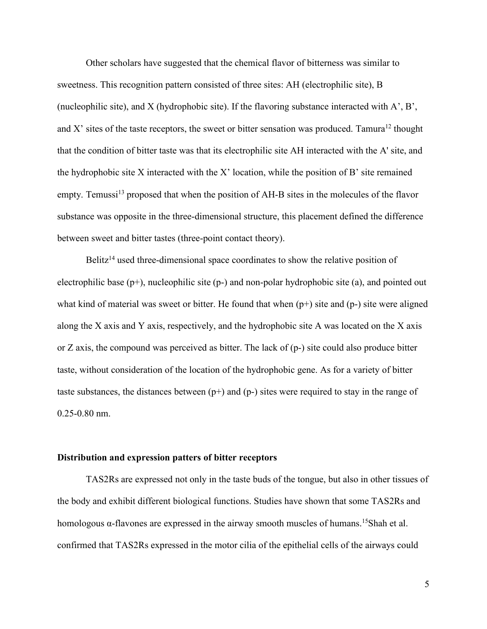Other scholars have suggested that the chemical flavor of bitterness was similar to sweetness. This recognition pattern consisted of three sites: AH (electrophilic site), B (nucleophilic site), and X (hydrophobic site). If the flavoring substance interacted with A', B', and X' sites of the taste receptors, the sweet or bitter sensation was produced. Tamura<sup>12</sup> thought that the condition of bitter taste was that its electrophilic site AH interacted with the A' site, and the hydrophobic site X interacted with the X' location, while the position of B' site remained empty. Temussi<sup>13</sup> proposed that when the position of AH-B sites in the molecules of the flavor substance was opposite in the three-dimensional structure, this placement defined the difference between sweet and bitter tastes (three-point contact theory).

Belitz<sup>14</sup> used three-dimensional space coordinates to show the relative position of electrophilic base  $(p+)$ , nucleophilic site  $(p-)$  and non-polar hydrophobic site  $(a)$ , and pointed out what kind of material was sweet or bitter. He found that when  $(p+)$  site and  $(p-)$  site were aligned along the X axis and Y axis, respectively, and the hydrophobic site A was located on the X axis or Z axis, the compound was perceived as bitter.The lack of (p-) site could also produce bitter taste, without consideration of the location of the hydrophobic gene. As for a variety of bitter taste substances, the distances between  $(p+)$  and  $(p-)$  sites were required to stay in the range of 0.25-0.80 nm.

#### **Distribution** and expression patters of bitter receptors

TAS2Rs are expressed not only in the taste buds of the tongue, but also in other tissues of the body and exhibit different biological functions. Studies have shown that some TAS2Rs and homologous  $\alpha$ -flavones are expressed in the airway smooth muscles of humans.<sup>15</sup>Shah et al. confirmed that TAS2Rs expressed in the motor cilia of the epithelial cells of the airways could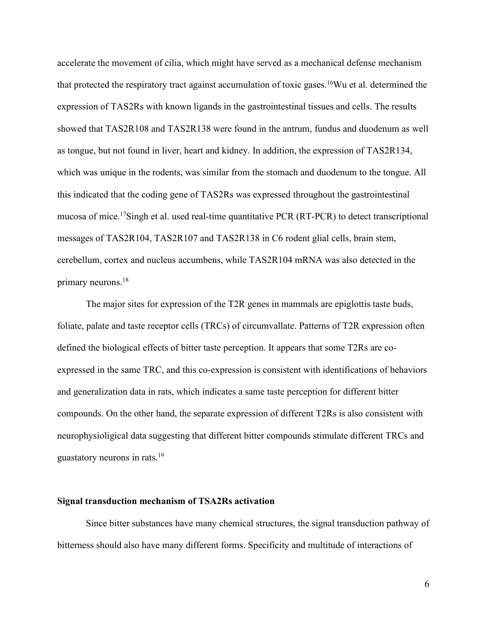accelerate the movement of cilia, which might have served as a mechanical defense mechanism that protected the respiratory tract against accumulation of toxic gases.<sup>16</sup>Wu et al. determined the expression of TAS2Rs with known ligands in the gastrointestinal tissues and cells. The results showed that TAS2R108 and TAS2R138 were found in the antrum, fundus and duodenum as well as tongue, but not found in liver, heart and kidney. In addition, the expression of TAS2R134, which was unique in the rodents, was similar from the stomach and duodenum to the tongue.All this indicated that the coding gene of TAS2Rs was expressed throughout the gastrointestinal mucosa of mice.<sup>17</sup>Singh et al. used real-time quantitative PCR (RT-PCR) to detect transcriptional messages of TAS2R104, TAS2R107 and TAS2R138 in C6 rodent glial cells, brain stem, cerebellum, cortex and nucleus accumbens, while TAS2R104 mRNA was also detected in the primary neurons.<sup>18</sup>

The major sites for expression of the T2R genes in mammals are epiglottis taste buds, foliate, palate and taste receptor cells (TRCs) of circumvallate. Patterns of T2R expression often defined the biological effects of bitter taste perception. It appears that some T2Rs are coexpressed in the same TRC, and this co-expression is consistent with identifications of behaviors and generalization data in rats, which indicates a same taste perception for different bitter compounds. On the other hand, the separate expression of different T2Rs is also consistent with neurophysioligical data suggesting that different bitter compounds stimulate different TRCs and guastatory neurons in rats.<sup>19</sup>

#### **Signal transduction mechanism of TSA2Rs activation**

Since bitter substances have many chemical structures, the signal transduction pathway of bitterness should also have many different forms. Specificity and multitude of interactions of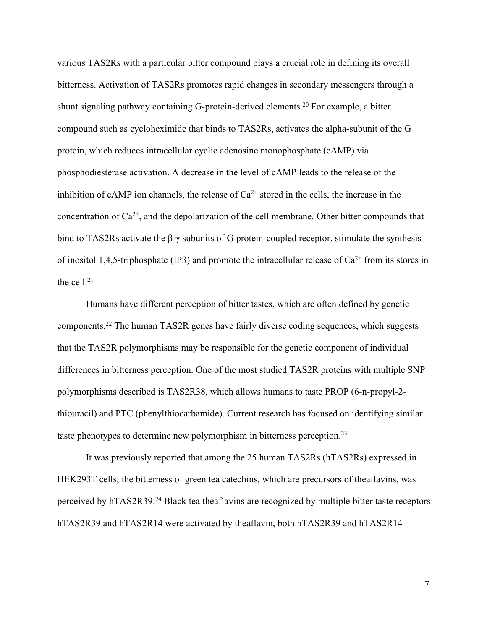various TAS2Rs with a particular bitter compound plays a crucial role in defining its overall bitterness. Activation of TAS2Rs promotes rapid changes in secondary messengers through a shunt signaling pathway containing G-protein-derived elements.<sup>20</sup> For example, a bitter compound such as cycloheximide that binds to TAS2Rs, activates the alpha-subunit of the G protein, which reduces intracellular cyclic adenosine monophosphate (cAMP) via phosphodiesterase activation. A decrease in the level of cAMP leads to the release of the inhibition of cAMP ion channels, the release of  $Ca^{2+}$  stored in the cells, the increase in the concentration of  $Ca^{2+}$ , and the depolarization of the cell membrane. Other bitter compounds that bind to TAS2Rs activate the β-γ subunits of G protein-coupled receptor, stimulate the synthesis of inositol 1,4,5-triphosphate (IP3) and promote the intracellular release of  $Ca^{2+}$  from its stores in the cell. $21$ 

Humans have different perception of bitter tastes, which are often defined by genetic components.<sup>22</sup> The human TAS2R genes have fairly diverse coding sequences, which suggests that the TAS2R polymorphisms may be responsible for the genetic component of individual differences in bitterness perception. One of the most studied TAS2R proteins with multiple SNP polymorphisms described is TAS2R38, which allows humans to taste PROP (6-n-propyl-2 thiouracil) and PTC (phenylthiocarbamide). Current research has focused on identifying similar taste phenotypes to determine new polymorphism in bitterness perception.<sup>23</sup>

It was previously reported that among the 25 human TAS2Rs (hTAS2Rs) expressed in HEK293T cells, the bitterness of green tea catechins, which are precursors of theaflavins, was perceived by hTAS2R39.<sup>24</sup> Black tea theaflavins are recognized by multiple bitter taste receptors: hTAS2R39 and hTAS2R14 were activated by theaflavin, both hTAS2R39 and hTAS2R14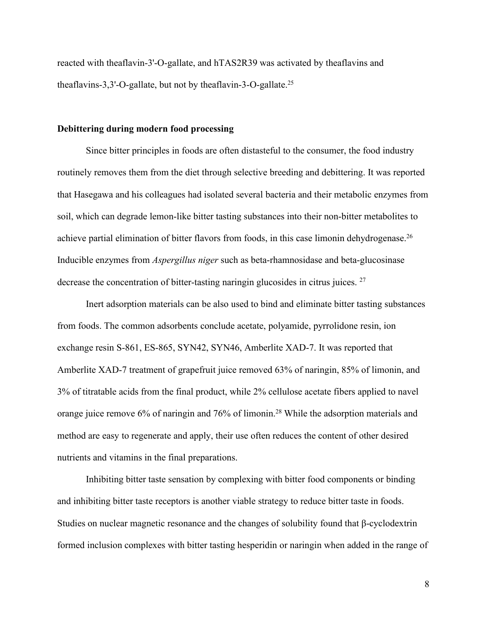reacted with theaflavin-3'-O-gallate, and hTAS2R39 was activated by theaflavins and theaflavins-3,3'-O-gallate, but not by theaflavin-3-O-gallate.<sup>25</sup>

#### **Debittering during modern food processing**

Since bitter principles in foods are often distasteful to the consumer, the food industry routinely removes them from the diet through selective breeding and debittering. It was reported that Hasegawa and his colleagues had isolated several bacteria and their metabolic enzymes from soil, which can degrade lemon-like bitter tasting substances into their non-bitter metabolites to achieve partial elimination of bitter flavors from foods, in this case limonin dehydrogenase.<sup>26</sup> Inducible enzymes from *Aspergillus niger* such as beta-rhamnosidase and beta-glucosinase decrease the concentration of bitter-tasting naringin glucosides in citrus juices. <sup>27</sup>

Inert adsorption materials can be also used to bind and eliminate bitter tasting substances from foods. The common adsorbents conclude acetate, polyamide, pyrrolidone resin, ion exchange resin S-861, ES-865, SYN42, SYN46, Amberlite XAD-7. It was reported that Amberlite XAD-7 treatment of grapefruit juice removed 63% of naringin, 85% of limonin, and 3% of titratable acids from the final product, while 2% cellulose acetate fibers applied to navel orange juice remove 6% of naringin and 76% of limonin.<sup>28</sup> While the adsorption materials and method are easy to regenerate and apply, their use often reduces the content of other desired nutrients and vitamins in the final preparations.

Inhibiting bitter taste sensation by complexing with bitter food components or binding and inhibiting bitter taste receptors is another viable strategy to reduce bitter taste in foods. Studies on nuclear magnetic resonance and the changes of solubility found that β-cyclodextrin formed inclusion complexes with bitter tasting hesperidin or naringin when added in the range of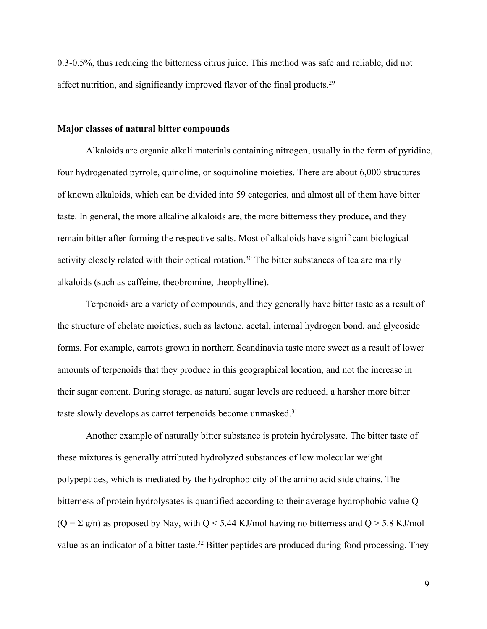0.3-0.5%, thus reducing the bitterness citrus juice. This method was safe and reliable, did not affect nutrition, and significantly improved flavor of the final products.<sup>29</sup>

#### **Major classes of natural bitter compounds**

Alkaloids are organic alkali materials containing nitrogen, usually in the form of pyridine, four hydrogenated pyrrole, quinoline, or soquinoline moieties. There are about 6,000 structures of known alkaloids, which can be divided into 59 categories, and almost all of them have bitter taste. In general, the more alkaline alkaloids are, the more bitterness they produce, and they remain bitter after forming the respective salts. Most of alkaloids have significant biological activity closely related with their optical rotation.<sup>30</sup> The bitter substances of tea are mainly alkaloids (such as caffeine, theobromine, theophylline).

Terpenoids are a variety of compounds, and they generally have bitter taste as a result of the structure of chelate moieties, such as lactone, acetal, internal hydrogen bond, and glycoside forms. For example, carrots grown in northern Scandinavia taste more sweet as a result of lower amounts of terpenoids that they produce in this geographical location, and not the increase in their sugar content. During storage, as natural sugar levels are reduced, a harsher more bitter taste slowly develops as carrot terpenoids become unmasked.<sup>31</sup>

Another example of naturally bitter substance is protein hydrolysate. The bitter taste of these mixtures is generally attributed hydrolyzed substances of low molecular weight polypeptides, which is mediated by the hydrophobicity of the amino acid side chains. The bitterness of protein hydrolysates is quantified according to their average hydrophobic value Q  $(Q = \Sigma g/n)$  as proposed by Nay, with  $Q \le 5.44$  KJ/mol having no bitterness and  $Q > 5.8$  KJ/mol value as an indicator of a bitter taste.<sup>32</sup> Bitter peptides are produced during food processing. They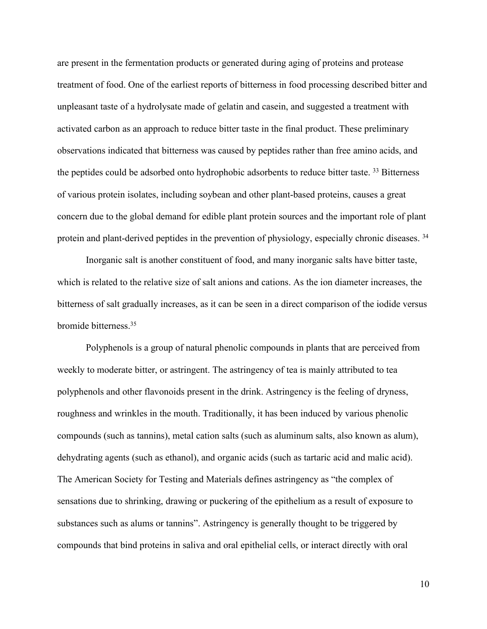are present in the fermentation products or generated during aging of proteins and protease treatment of food. One of the earliest reports of bitterness in food processing described bitter and unpleasant taste of a hydrolysate made of gelatin and casein, and suggested a treatment with activated carbon as an approach to reduce bitter taste in the final product. These preliminary observations indicated that bitterness was caused by peptides rather than free amino acids, and the peptides could be adsorbed onto hydrophobic adsorbents to reduce bitter taste.<sup>33</sup> Bitterness of various protein isolates, including soybean and other plant-based proteins, causes a great concern due to the global demand for edible plant protein sources and the important role of plant protein and plant-derived peptides in the prevention of physiology, especially chronic diseases. <sup>34</sup>

Inorganic salt is another constituent of food, and many inorganic salts have bitter taste, which is related to the relative size of salt anions and cations. As the ion diameter increases, the bitterness of salt gradually increases, as it can be seen in a direct comparison of the iodide versus bromide bitterness.<sup>35</sup>

Polyphenols is a group of natural phenolic compounds in plants that are perceived from weekly to moderate bitter, or astringent. The astringency of tea is mainly attributed to tea polyphenols and other flavonoids present in the drink. Astringency is the feeling of dryness, roughness and wrinkles in the mouth. Traditionally, it has been induced by various phenolic compounds (such as tannins), metal cation salts (such as aluminum salts, also known as alum), dehydrating agents (such as ethanol), and organic acids (such as tartaric acid and malic acid). The American Society for Testing and Materials defines astringency as "the complex of sensations due to shrinking, drawing or puckering of the epithelium as a result of exposure to substances such as alums or tannins". Astringency is generally thought to be triggered by compounds that bind proteins in saliva and oral epithelial cells, or interact directly with oral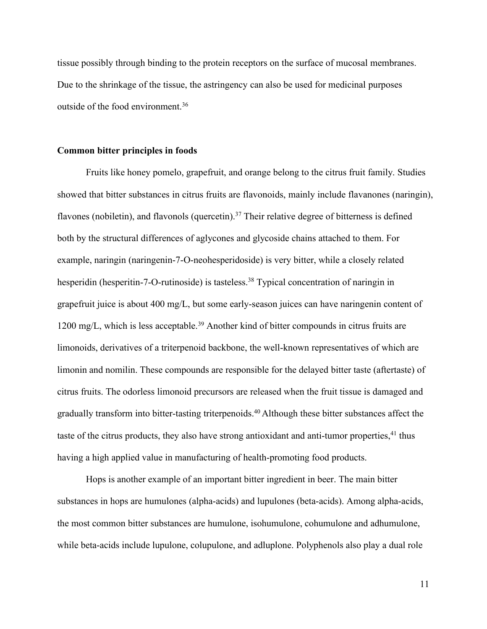tissue possibly through binding to the protein receptors on the surface of mucosal membranes. Due to the shrinkage of the tissue, the astringency can also be used for medicinal purposes outside of the food environment.<sup>36</sup>

#### **Common bitter principles in foods**

Fruits like honey pomelo, grapefruit, and orange belong to the citrus fruit family. Studies showed that bitter substances in citrus fruits are flavonoids, mainly include flavanones (naringin), flavones (nobiletin), and flavonols (quercetin).<sup>37</sup> Their relative degree of bitterness is defined both by the structural differences of aglycones and glycoside chains attached to them. For example, naringin (naringenin-7-O-neohesperidoside) is very bitter, while a closely related hesperidin (hesperitin-7-O-rutinoside) is tasteless.<sup>38</sup> Typical concentration of naringin in grapefruit juice is about  $400 \text{ mg/L}$ , but some early-season juices can have naringenin content of 1200 mg/L, which is less acceptable.<sup>39</sup> Another kind of bitter compounds in citrus fruits are limonoids, derivatives of a triterpenoid backbone, the well-known representatives of which are limonin and nomilin. These compounds are responsible for the delayed bitter taste (aftertaste) of citrus fruits.The odorless limonoid precursors are released when the fruit tissue is damaged and gradually transform into bitter-tasting triterpenoids.<sup>40</sup> Although these bitter substances affect the taste of the citrus products, they also have strong antioxidant and anti-tumor properties,<sup>41</sup> thus having a high applied value in manufacturing of health-promoting food products.

Hops is another example of an important bitter ingredient in beer. The main bitter substances in hops are humulones (alpha-acids) and lupulones (beta-acids). Among alpha-acids, the most common bitter substances are humulone, isohumulone, cohumulone and adhumulone, while beta-acids include lupulone, colupulone, and adluplone. Polyphenols also play a dual role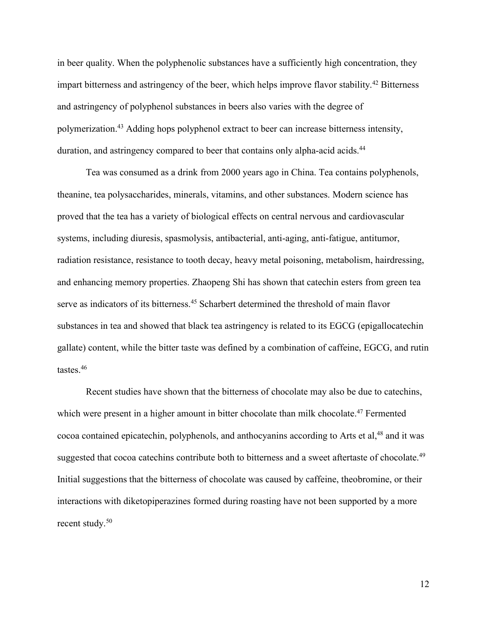in beer quality. When the polyphenolic substances have a sufficiently high concentration, they impart bitterness and astringency of the beer, which helps improve flavor stability.<sup>42</sup> Bitterness and astringency of polyphenol substances in beers also varies with the degree of polymerization.<sup>43</sup> Adding hops polyphenol extract to beer can increase bitterness intensity, duration, and astringency compared to beer that contains only alpha-acid acids.<sup>44</sup>

Tea was consumed as a drink from 2000 years ago in China. Tea contains polyphenols, theanine, tea polysaccharides, minerals, vitamins, and other substances. Modern science has proved that the tea has a variety of biological effects on central nervous and cardiovascular systems, including diuresis, spasmolysis, antibacterial, anti-aging, anti-fatigue, antitumor, radiation resistance, resistance to tooth decay, heavy metal poisoning, metabolism, hairdressing, and enhancing memory properties. Zhaopeng Shi has shown that catechin esters from green tea serve as indicators of its bitterness.<sup>45</sup> Scharbert determined the threshold of main flavor substances in tea and showed that black tea astringency is related to its EGCG (epigallocatechin gallate) content, while the bitter taste was defined by a combination of caffeine, EGCG, and rutin tastes  $46$ 

Recent studies have shown that the bitterness of chocolate may also be due to catechins, which were present in a higher amount in bitter chocolate than milk chocolate.<sup>47</sup> Fermented cocoa contained epicatechin, polyphenols, and anthocyanins according to Arts et al,<sup>48</sup> and it was suggested that cocoa catechins contribute both to bitterness and a sweet aftertaste of chocolate.<sup>49</sup> Initial suggestions that the bitterness of chocolate was caused by caffeine, theobromine, or their interactions with diketopiperazines formed during roasting have not been supported by a more recent study.<sup>50</sup>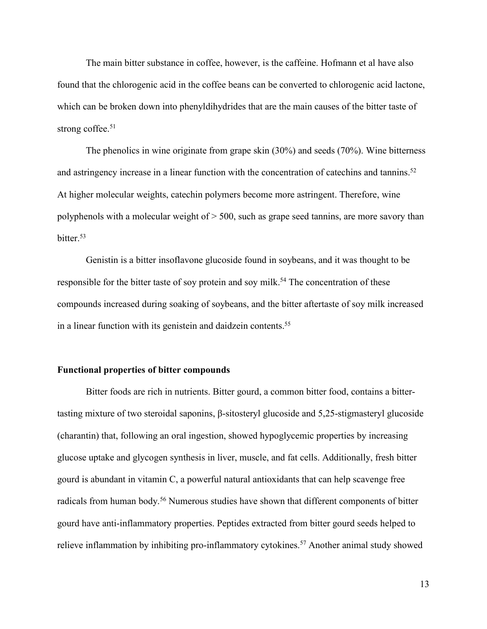The main bitter substance in coffee, however, is the caffeine. Hofmann et al have also found that the chlorogenic acid in the coffee beans can be converted to chlorogenic acid lactone, which can be broken down into phenyldihydrides that are the main causes of the bitter taste of strong coffee.<sup>51</sup>

The phenolics in wine originate from grape skin (30%) and seeds (70%). Wine bitterness and astringency increase in a linear function with the concentration of catechins and tannins.<sup>52</sup> At higher molecular weights, catechin polymers become more astringent. Therefore, wine polyphenols with a molecular weight of > 500, such as grape seed tannins, are more savory than bitter.<sup>53</sup>

Genistin is a bitter insoflavone glucoside found in soybeans, and it was thought to be responsible for the bitter taste of soy protein and soy milk.<sup>54</sup> The concentration of these compounds increased during soaking of soybeans, and the bitter aftertaste of soy milk increased in a linear function with its genistein and daidzein contents.<sup>55</sup>

#### **Functional properties of bitter compounds**

Bitter foods are rich in nutrients. Bitter gourd, a common bitter food, contains a bittertasting mixture of two steroidal saponins, β-sitosteryl glucoside and 5,25-stigmasteryl glucoside (charantin) that, following an oral ingestion, showed hypoglycemic properties by increasing glucose uptake and glycogen synthesis in liver, muscle, and fat cells. Additionally, fresh bitter gourd is abundant in vitamin C, a powerful natural antioxidants that can help scavenge free radicals from human body.<sup>56</sup> Numerous studies have shown that different components of bitter gourd have anti-inflammatory properties. Peptides extracted from bitter gourd seedshelped to relieve inflammation by inhibiting pro-inflammatory cytokines.<sup>57</sup> Another animal study showed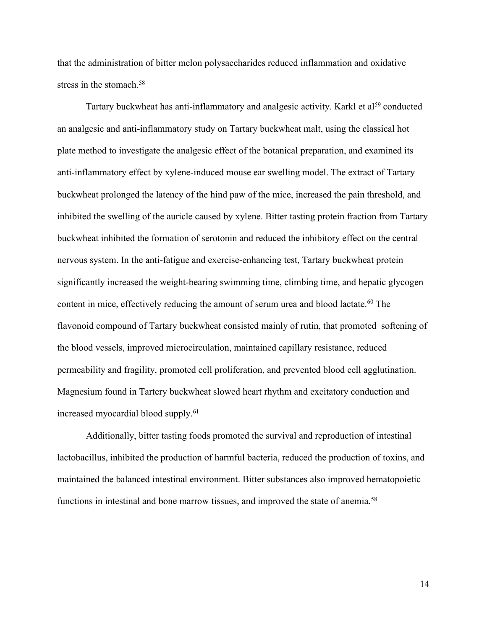that the administration of bitter melon polysaccharides reduced inflammation and oxidative stress in the stomach.<sup>58</sup>

Tartary buckwheat has anti-inflammatory and analgesic activity. Karkl et al<sup>59</sup> conducted an analgesic and anti-inflammatory study on Tartary buckwheat malt, using the classical hot plate method to investigate the analgesic effect of the botanical preparation, and examined its anti-inflammatory effect by xylene-induced mouse ear swelling model. The extract of Tartary buckwheat prolonged the latency of the hind paw of the mice, increased the pain threshold, and inhibited the swelling of the auricle caused by xylene. Bitter tasting protein fraction from Tartary buckwheat inhibited the formation of serotonin and reduced the inhibitory effect on the central nervous system. In the anti-fatigue and exercise-enhancing test, Tartary buckwheat protein significantly increased the weight-bearing swimming time, climbing time, and hepatic glycogen content in mice, effectively reducing the amount of serum urea and blood lactate.<sup>60</sup> The flavonoid compound of Tartary buckwheat consisted mainly of rutin, that promoted softening of the blood vessels, improved microcirculation, maintained capillary resistance, reduced permeability and fragility, promoted cell proliferation, and prevented blood cellagglutination. Magnesium found in Tartery buckwheat slowed heart rhythm and excitatory conduction and increased myocardial blood supply.<sup>61</sup>

Additionally, bitter tasting foods promoted the survival and reproduction of intestinal lactobacillus, inhibited the production of harmful bacteria, reduced the production of toxins, and maintained the balanced intestinal environment. Bitter substances also improved hematopoietic functions in intestinal and bone marrow tissues, and improved the state of anemia.<sup>58</sup>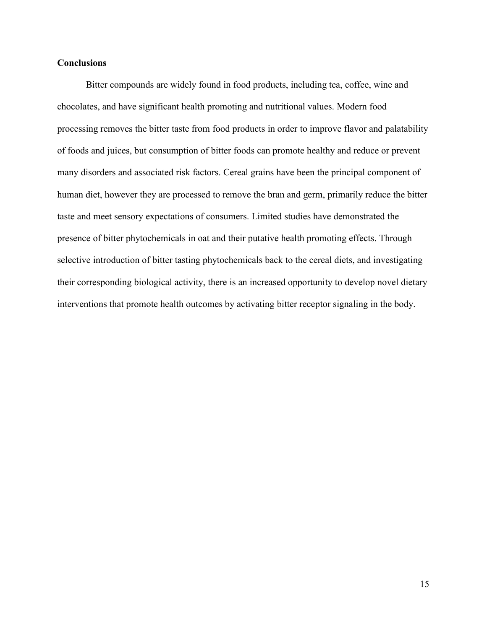## **Conclusions**

Bitter compounds are widely found in food products, including tea, coffee, wine and chocolates, and have significant health promoting and nutritional values. Modern food processing removes the bitter taste from food products in order to improve flavor and palatability of foods and juices, but consumption of bitter foods can promote healthy and reduce or prevent many disorders and associated risk factors. Cereal grains have been the principal component of human diet, however they are processed to remove the bran and germ, primarily reduce the bitter taste and meet sensory expectations of consumers. Limited studies have demonstrated the presence of bitter phytochemicals in oat and their putative health promoting effects. Through selective introduction of bitter tasting phytochemicals back to the cereal diets, and investigating their corresponding biological activity, there is an increased opportunity to develop novel dietary interventions that promote health outcomes by activating bitter receptor signaling in the body.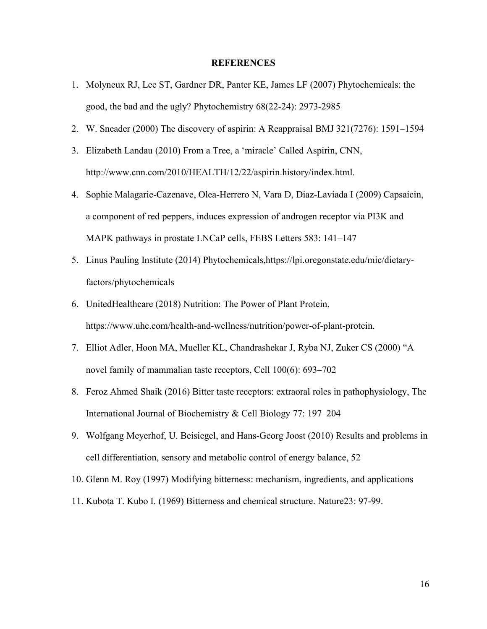#### **REFERENCES**

- 1. Molyneux RJ, Lee ST, Gardner DR, Panter KE, James LF (2007) Phytochemicals: the good, the bad and the ugly? Phytochemistry 68(22-24): 2973-2985
- 2. W. Sneader (2000) The discovery of aspirin: A Reappraisal BMJ 321(7276): 1591–1594
- 3. Elizabeth Landau (2010) From a Tree, a 'miracle' Called Aspirin, CNN, http://www.cnn.com/2010/HEALTH/12/22/aspirin.history/index.html.
- 4. Sophie Malagarie-Cazenave, Olea-Herrero N, Vara D, Diaz-Laviada I (2009) Capsaicin, a component of red peppers, induces expression of androgen receptor via PI3K and MAPK pathways in prostate LNCaP cells, FEBS Letters 583: 141–147
- 5. Linus Pauling Institute (2014) Phytochemicals,https://lpi.oregonstate.edu/mic/dietaryfactors/phytochemicals
- 6. UnitedHealthcare (2018) Nutrition: The Power of Plant Protein, https://www.uhc.com/health-and-wellness/nutrition/power-of-plant-protein.
- 7. Elliot Adler, Hoon MA, Mueller KL, Chandrashekar J, Ryba NJ, Zuker CS (2000) "A novel family of mammalian taste receptors, Cell 100(6): 693–702
- 8. Feroz Ahmed Shaik (2016) Bitter taste receptors: extraoral roles in pathophysiology, The International Journal of Biochemistry & Cell Biology 77: 197–204
- 9. Wolfgang Meyerhof, U. Beisiegel, and Hans-Georg Joost (2010) Results and problems in cell differentiation, sensory and metabolic control of energy balance, 52
- 10. Glenn M. Roy (1997) Modifying bitterness: mechanism, ingredients, and applications
- 11. Kubota T. Kubo I. (1969) Bitterness and chemical structure. Nature23: 97-99.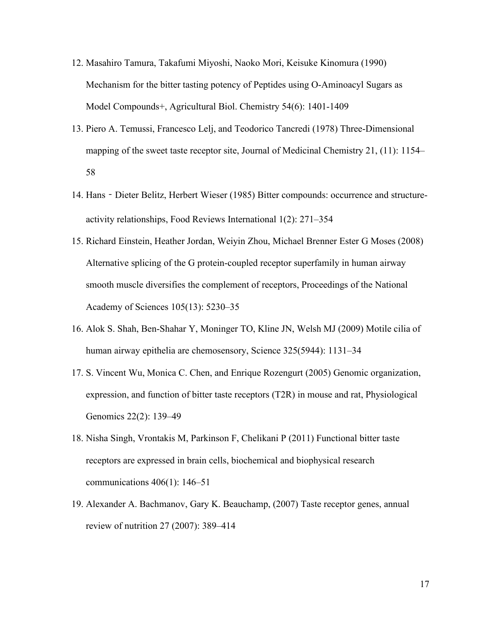- 12. Masahiro Tamura, Takafumi Miyoshi, Naoko Mori, Keisuke Kinomura (1990) Mechanism for the bitter tasting potency of Peptides using O-Aminoacyl Sugars as Model Compounds+, Agricultural Biol. Chemistry 54(6): 1401-1409
- 13. Piero A. Temussi, Francesco Lelj, and Teodorico Tancredi (1978) Three-Dimensional mapping of the sweet taste receptor site, Journal of Medicinal Chemistry 21, (11): 1154– 58
- 14. Hans Dieter Belitz, Herbert Wieser (1985) Bitter compounds: occurrence and structureactivity relationships, Food Reviews International 1(2): 271–354
- 15. Richard Einstein, Heather Jordan, Weiyin Zhou, Michael Brenner Ester G Moses (2008) Alternative splicing of the G protein-coupled receptor superfamily in human airway smooth muscle diversifies the complement of receptors, Proceedings of the National Academy of Sciences 105(13): 5230–35
- 16. Alok S. Shah, Ben-Shahar Y, Moninger TO, Kline JN, Welsh MJ (2009) Motile cilia of human airway epithelia are chemosensory, Science 325(5944): 1131–34
- 17. S. Vincent Wu, Monica C. Chen, and Enrique Rozengurt (2005) Genomic organization, expression, and function of bitter taste receptors (T2R) in mouse and rat, Physiological Genomics 22(2): 139–49
- 18. Nisha Singh, Vrontakis M, Parkinson F, Chelikani P (2011) Functional bitter taste receptors are expressed in brain cells, biochemical and biophysical research communications 406(1): 146–51
- 19. Alexander A. Bachmanov, Gary K. Beauchamp, (2007) Taste receptor genes, annual review of nutrition 27 (2007): 389–414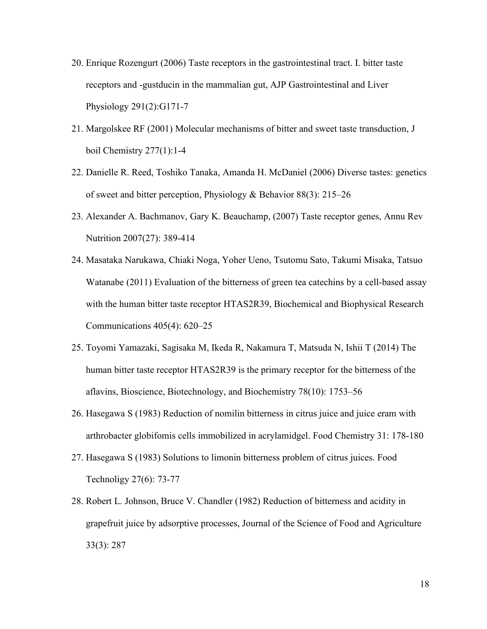- 20. Enrique Rozengurt (2006) Taste receptors in the gastrointestinal tract. I. bitter taste receptors and -gustducin in the mammalian gut, AJP Gastrointestinal and Liver Physiology 291(2):G171-7
- 21. Margolskee RF (2001) Molecular mechanisms of bitter and sweet taste transduction, J boil Chemistry 277(1):1-4
- 22. Danielle R. Reed, Toshiko Tanaka, Amanda H. McDaniel (2006) Diverse tastes: genetics of sweet and bitter perception, Physiology & Behavior 88(3): 215–26
- 23. Alexander A. Bachmanov, Gary K. Beauchamp, (2007) Taste receptor genes, Annu Rev Nutrition 2007(27): 389-414
- 24. Masataka Narukawa, Chiaki Noga, Yoher Ueno, Tsutomu Sato, Takumi Misaka, Tatsuo Watanabe (2011) Evaluation of the bitterness of green tea catechins by a cell-based assay with the human bitter taste receptor HTAS2R39, Biochemical and Biophysical Research Communications 405(4): 620–25
- 25. Toyomi Yamazaki, Sagisaka M, Ikeda R, Nakamura T, Matsuda N, Ishii T (2014) The human bitter taste receptor HTAS2R39 is the primary receptor for the bitterness of the aflavins, Bioscience, Biotechnology, and Biochemistry 78(10): 1753–56
- 26. Hasegawa S (1983) Reduction of nomilin bitterness in citrus juice and juice eram with arthrobacter globifomis cells immobilized in acrylamidgel. Food Chemistry 31: 178-180
- 27. Hasegawa S (1983) Solutions to limonin bitterness problem of citrus juices. Food Technoligy 27(6): 73-77
- 28. Robert L. Johnson, Bruce V. Chandler (1982) Reduction of bitterness and acidity in grapefruit juice by adsorptive processes, Journal of the Science of Food and Agriculture 33(3): 287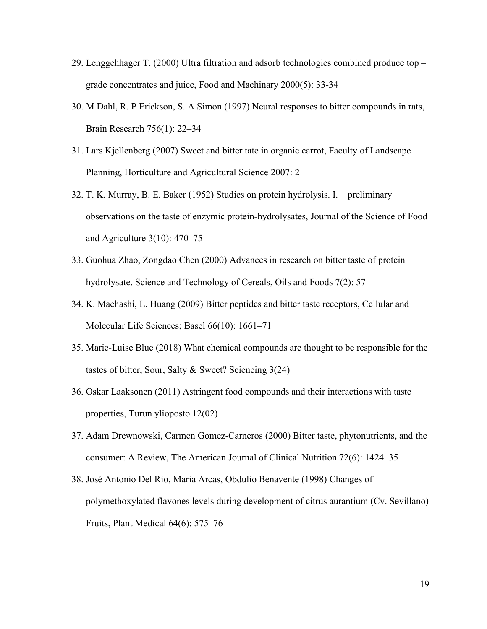- 29. Lenggehhager T. (2000) Ultra filtration and adsorb technologies combined produce top grade concentrates and juice, Food and Machinary 2000(5): 33-34
- 30. M Dahl, R. P Erickson, S. A Simon (1997) Neural responses to bitter compounds in rats, Brain Research 756(1): 22–34
- 31. Lars Kjellenberg (2007) Sweet and bitter tate in organic carrot, Faculty of Landscape Planning, Horticulture and Agricultural Science 2007: 2
- 32. T. K. Murray, B. E. Baker (1952) Studies on protein hydrolysis. I.—preliminary observations on the taste of enzymic protein-hydrolysates, Journal of the Science of Food and Agriculture 3(10): 470–75
- 33. Guohua Zhao, Zongdao Chen (2000) Advances in research on bitter taste of protein hydrolysate, Science and Technology of Cereals, Oils and Foods 7(2): 57
- 34. K. Maehashi, L. Huang (2009) Bitter peptides and bitter taste receptors, Cellular and Molecular Life Sciences; Basel 66(10): 1661–71
- 35. Marie-Luise Blue (2018) What chemical compounds are thought to be responsible for the tastes of bitter, Sour, Salty & Sweet? Sciencing 3(24)
- 36. Oskar Laaksonen (2011) Astringent food compounds and their interactions with taste properties, Turun ylioposto 12(02)
- 37. Adam Drewnowski, Carmen Gomez-Carneros (2000) Bitter taste, phytonutrients, and the consumer: A Review, The American Journal of Clinical Nutrition 72(6): 1424–35
- 38. José Antonio Del Río, Maria Arcas, Obdulio Benavente (1998) Changes of polymethoxylated flavones levels during development of citrus aurantium (Cv. Sevillano) Fruits, Plant Medical 64(6): 575–76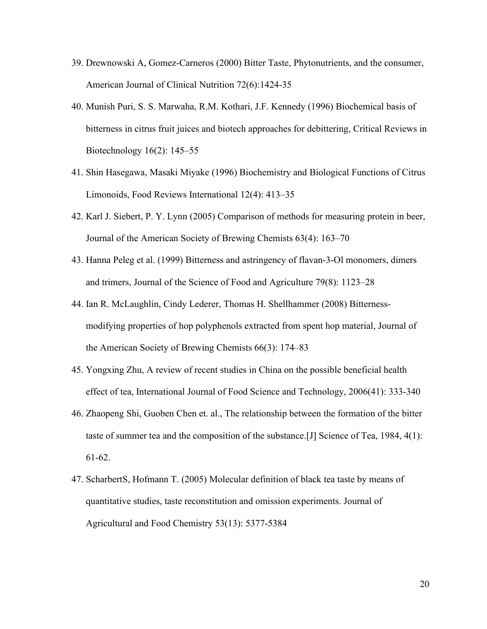- 39. Drewnowski A, Gomez-Carneros (2000) Bitter Taste, Phytonutrients, and the consumer, American Journal of Clinical Nutrition 72(6):1424-35
- 40. Munish Puri, S. S. Marwaha, R.M. Kothari, J.F. Kennedy (1996) Biochemical basis of bitterness in citrus fruit juices and biotech approaches for debittering, Critical Reviews in Biotechnology 16(2): 145–55
- 41. Shin Hasegawa, Masaki Miyake (1996) Biochemistry and Biological Functions of Citrus Limonoids, Food Reviews International 12(4): 413–35
- 42. Karl J. Siebert, P. Y. Lynn (2005) Comparison of methods for measuring protein in beer, Journal of the American Society of Brewing Chemists 63(4): 163–70
- 43. Hanna Peleg et al. (1999) Bitterness and astringency of flavan-3-Ol monomers, dimers and trimers, Journal of the Science of Food and Agriculture 79(8): 1123–28
- 44. Ian R. McLaughlin, Cindy Lederer, Thomas H. Shellhammer (2008) Bitterness modifying properties of hop polyphenols extracted from spent hop material, Journal of the American Society of Brewing Chemists 66(3): 174–83
- 45. Yongxing Zhu, A review of recent studies in China on the possible beneficial health effect of tea, International Journal of Food Science and Technology, 2006(41): 333-340
- 46. Zhaopeng Shi, Guoben Chen et. al., The relationship between the formation of the bitter taste of summer tea and the composition of the substance.[J] Science of Tea, 1984, 4(1): 61-62.
- 47. ScharbertS, Hofmann T. (2005) Molecular definition of black tea taste by means of quantitative studies, taste reconstitution and omission experiments. Journal of Agricultural and Food Chemistry 53(13): 5377-5384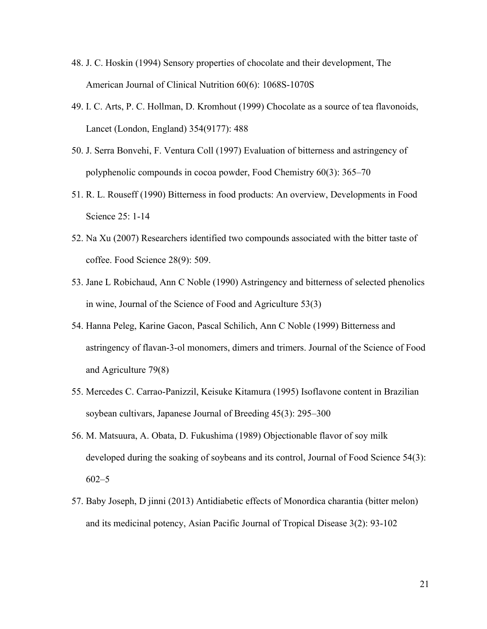- 48. J. C. Hoskin (1994) Sensory properties of chocolate and their development, The American Journal of Clinical Nutrition 60(6): 1068S-1070S
- 49. I. C. Arts, P. C. Hollman, D. Kromhout (1999) Chocolate as a source of tea flavonoids, Lancet (London, England) 354(9177): 488
- 50. J. Serra Bonvehi, F. Ventura Coll (1997) Evaluation of bitterness and astringency of polyphenolic compounds in cocoa powder, Food Chemistry 60(3): 365–70
- 51. R. L. Rouseff (1990) Bitterness in food products: An overview, Developments in Food Science 25: 1-14
- 52. Na Xu (2007) Researchers identified two compounds associated with the bitter taste of coffee. Food Science 28(9): 509.
- 53. Jane L Robichaud, Ann C Noble (1990) Astringency and bitterness of selected phenolics in wine, Journal of the Science of Food and Agriculture 53(3)
- 54. Hanna Peleg, Karine Gacon, Pascal Schilich, Ann C Noble (1999) Bitterness and astringency of flavan-3-ol monomers, dimers and trimers. Journal of the Science of Food and Agriculture 79(8)
- 55. Mercedes C. Carrao-Panizzil, Keisuke Kitamura (1995) Isoflavone content in Brazilian soybean cultivars, Japanese Journal of Breeding 45(3): 295–300
- 56. M. Matsuura, A. Obata, D. Fukushima (1989) Objectionable flavor of soy milk developed during the soaking of soybeans and its control, Journal of Food Science 54(3): 602–5
- 57. Baby Joseph, D jinni (2013) Antidiabetic effects of Monordica charantia (bitter melon) and its medicinal potency, Asian Pacific Journal of Tropical Disease 3(2): 93-102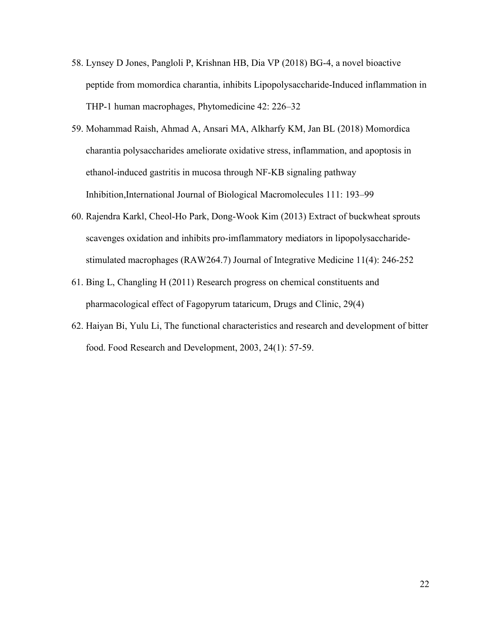- 58. Lynsey D Jones, Pangloli P, Krishnan HB, Dia VP (2018) BG-4, a novel bioactive peptide from momordica charantia, inhibits Lipopolysaccharide-Induced inflammation in THP-1 human macrophages, Phytomedicine 42: 226–32
- 59. Mohammad Raish, Ahmad A, Ansari MA, Alkharfy KM, Jan BL (2018) Momordica charantia polysaccharides ameliorate oxidative stress, inflammation, and apoptosis in ethanol-induced gastritis in mucosa through NF-KB signaling pathway Inhibition,International Journal of Biological Macromolecules 111: 193–99
- 60. Rajendra Karkl, Cheol-Ho Park, Dong-Wook Kim (2013) Extract of buckwheat sprouts scavenges oxidation and inhibits pro-imflammatory mediators in lipopolysaccharide stimulated macrophages (RAW264.7) Journal of Integrative Medicine 11(4): 246-252
- 61. Bing L, Changling H (2011) Research progress on chemical constituents and pharmacological effect of Fagopyrum tataricum, Drugs and Clinic, 29(4)
- 62. Haiyan Bi, Yulu Li, The functional characteristics and research and development of bitter food. Food Research and Development, 2003, 24(1): 57-59.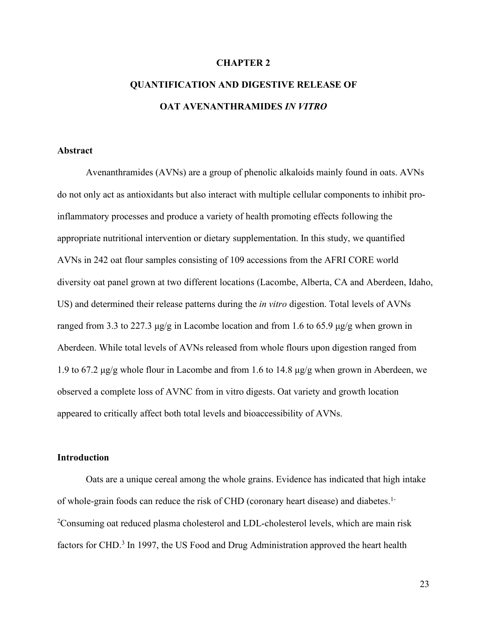#### **CHAPTER 2**

# **QUANTIFICATION AND DIGESTIVE RELEASE OF OAT AVENANTHRAMIDES** *IN VITRO*

#### **Abstract**

Avenanthramides (AVNs) are a group of phenolic alkaloids mainly found in oats. AVNs do not only act as antioxidants but also interact with multiple cellular components to inhibit proinflammatory processes and produce a variety of health promoting effects following the appropriate nutritional intervention or dietary supplementation. In this study, we quantified AVNs in 242 oat flour samples consisting of 109 accessions from the AFRI CORE world diversity oat panel grown at two different locations (Lacombe, Alberta, CA and Aberdeen, Idaho, US) and determined their release patterns during the *in vitro* digestion. Total levels ofAVNs ranged from 3.3 to 227.3 μg/g in Lacombe location and from 1.6 to 65.9 μg/g when grown in Aberdeen. While total levels of AVNs released from whole flours upon digestion ranged from 1.9 to 67.2 μg/g whole flour in Lacombe and from 1.6 to 14.8 μg/g when grown in Aberdeen, we observed a complete loss ofAVNC from in vitro digests. Oat variety and growth location appeared to critically affect both total levels and bioaccessibility of AVNs.

#### **Introduction**

Oats are a unique cereal among the whole grains. Evidence has indicated that high intake of whole-grain foods can reduce the risk of CHD (coronary heart disease) and diabetes.1- <sup>2</sup>Consuming oat reduced plasma cholesterol and LDL-cholesterol levels, which are main risk factors for CHD.<sup>3</sup> In 1997, the US Food and Drug Administration approved the heart health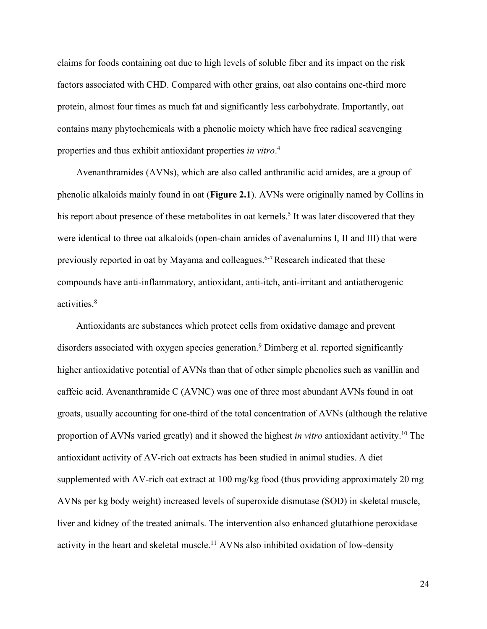claims for foods containing oat due to high levels ofsoluble fiberand its impact on the risk factors associated with CHD. Compared with other grains, oat also contains one-third more protein, almost four times as much fat and significantly less carbohydrate. Importantly, oat contains many phytochemicals with a phenolic moiety which have free radical scavenging properties and thus exhibit antioxidant properties *in vitro*.<sup>4</sup>

Avenanthramides (AVNs), which are also called anthranilic acid amides, are a group of phenolic alkaloids mainly found in oat (**Figure 2.1**). AVNs were originally named by Collins in his report about presence of these metabolites in oat kernels.<sup>5</sup> It was later discovered that they were identical to three oat alkaloids (open-chain amides of avenalumins I, II and III) that were previously reported in oat by Mayama and colleagues.<sup>6-7</sup> Research indicated that these compounds have anti-inflammatory, antioxidant, anti-itch, anti-irritant and antiatherogenic activities.<sup>8</sup>

Antioxidants are substances which protect cells from oxidative damage and prevent disorders associated with oxygen species generation.<sup>9</sup> Dimberg et al. reported significantly higher antioxidative potential of AVNs than that of other simple phenolics such as vanillin and caffeic acid. Avenanthramide C (AVNC) was one of three most abundant AVNs found in oat groats, usually accounting for one-third of the total concentration of AVNs (although the relative proportion of AVNs varied greatly) and it showed the highest*in vitro* antioxidant activity.<sup>10</sup> The antioxidant activity of AV-rich oat extracts has been studied in animal studies. A diet supplemented with AV-rich oat extract at 100 mg/kg food (thus providing approximately 20 mg AVNs per kg body weight) increased levels of superoxide dismutase (SOD) in skeletal muscle, liver and kidney of the treated animals. The intervention also enhanced glutathione peroxidase activity in the heart and skeletal muscle.<sup>11</sup> AVNs also inhibited oxidation of low-density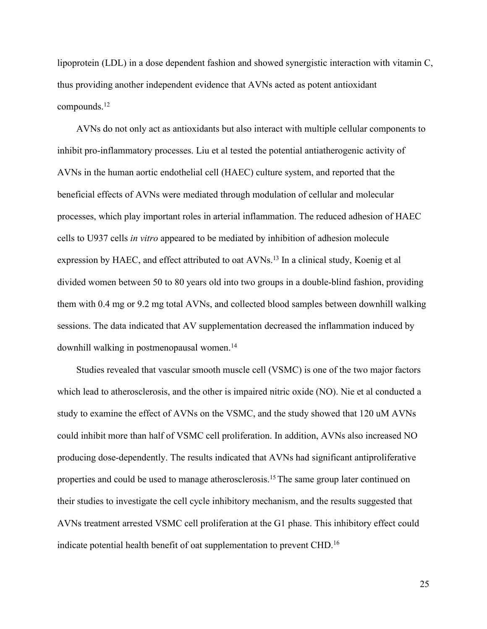lipoprotein (LDL) in a dose dependent fashion and showed synergistic interaction with vitamin C, thus providing another independent evidence that AVNs acted as potent antioxidant compounds.<sup>12</sup>

AVNs do not only act as antioxidants but also interact with multiple cellular components to inhibit pro-inflammatory processes. Liu et al tested the potential antiatherogenic activity of AVNs in the human aortic endothelial cell (HAEC) culture system, and reported that the beneficial effects ofAVNs were mediated through modulation of cellular and molecular processes, which play important roles in arterial inflammation. The reduced adhesion of HAEC cells to U937 cells*in vitro* appeared to be mediated by inhibition of adhesion molecule expression by HAEC, and effect attributed to oat AVNs.<sup>13</sup> In a clinical study, Koenig et al divided women between 50 to 80 years old into two groups in a double-blind fashion, providing them with 0.4 mg or 9.2 mg total AVNs, and collected blood samples between downhill walking sessions. The data indicated that AV supplementation decreased the inflammation induced by downhill walking in postmenopausal women.<sup>14</sup>

Studies revealed that vascular smooth muscle cell (VSMC) is one of the two major factors which lead to atherosclerosis, and the other is impaired nitric oxide (NO). Nie et al conducted a study to examine the effect of AVNs on the VSMC, and the study showed that 120 uM AVNs could inhibit more than half of VSMC cell proliferation. In addition, AVNs also increased NO producing dose-dependently. The results indicated that AVNs had significant antiproliferative properties and could be used to manage atherosclerosis.<sup>15</sup> The same group later continued on their studies to investigate the cell cycle inhibitory mechanism, and the results suggested that AVNs treatment arrested VSMC cell proliferation at the G1 phase. This inhibitory effect could indicate potential health benefit of oat supplementation to preventCHD.<sup>16</sup>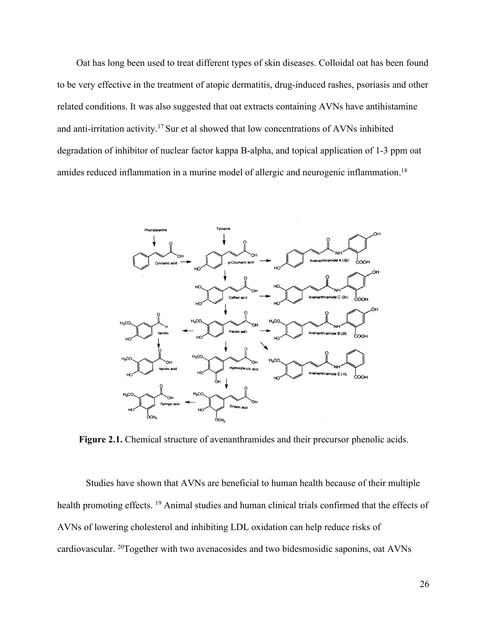Oat has long been used to treat different types of skin diseases. Colloidal oat has been found to be very effective in the treatment of atopic dermatitis, drug-induced rashes, psoriasis and other related conditions. It was also suggested that oat extracts containing AVNs have antihistamine and anti-irritation activity.<sup>17</sup> Sur et al showed that low concentrations of AVNs inhibited degradation of inhibitor of nuclear factor kappa B-alpha, and topical application of 1-3 ppm oat amides reduced inflammation in a murine model of allergic and neurogenic inflammation.<sup>18</sup>



**Figure 2.1.** Chemical structure of avenanthramides and their precursor phenolic acids.

Studies have shown that AVNs are beneficial to human health because of their multiple health promoting effects. <sup>19</sup> Animal studies and human clinical trials confirmed that the effects of AVNs of lowering cholesterol and inhibiting LDL oxidation can help reduce risks of cardiovascular. <sup>20</sup>Together with two avenacosides and two bidesmosidic saponins, oat AVNs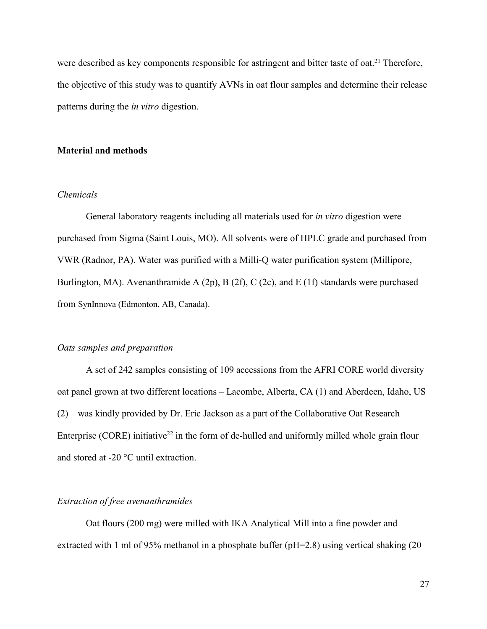were described as key components responsible for astringent and bitter taste of oat.<sup>21</sup> Therefore, the objective of this study was to quantify AVNs in oat flour samples and determine their release patterns during the *in vitro* digestion.

#### **Material and methods**

#### *Chemicals*

General laboratory reagents including all materials used for *in vitro* digestion were purchased from Sigma (Saint Louis, MO). All solvents were of HPLC grade and purchased from VWR (Radnor, PA). Water was purified with a Milli-Q water purification system (Millipore, Burlington, MA). Avenanthramide A (2p), B (2f), C (2c), and E (1f) standards were purchased from SynInnova (Edmonton, AB, Canada).

#### *Oats samples and preparation*

A set of 242 samples consisting of 109 accessions from the AFRI CORE world diversity oat panel grown at two different locations – Lacombe, Alberta, CA (1) and Aberdeen, Idaho, US (2) – was kindly provided by Dr. Eric Jackson as a part of the Collaborative Oat Research Enterprise (CORE) initiative<sup>22</sup> in the form of de-hulled and uniformly milled whole grain flour and stored at -20 °C until extraction.

#### *Extraction of free avenanthramides*

Oat flours (200 mg) were milled with IKA Analytical Mill into a fine powder and extracted with 1 ml of 95% methanol in a phosphate buffer ( $pH=2.8$ ) using vertical shaking (20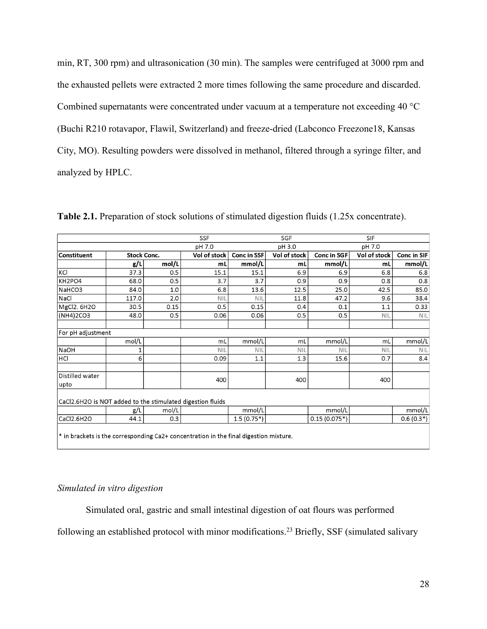min, RT, 300 rpm) and ultrasonication (30 min). The samples were centrifuged at 3000 rpm and the exhausted pellets were extracted 2 more times following the same procedure and discarded. Combined supernatants were concentrated under vacuum at a temperature not exceeding 40 °C (Buchi R210 rotavapor, Flawil, Switzerland) and freeze-dried (Labconco Freezone18, Kansas City, MO). Resulting powders were dissolved in methanol, filtered through a syringe filter, and analyzed by HPLC.

|                                                                                         |                    |       | <b>SSF</b>   |                    | SGF          |                    | <b>SIF</b>   |                    |
|-----------------------------------------------------------------------------------------|--------------------|-------|--------------|--------------------|--------------|--------------------|--------------|--------------------|
|                                                                                         |                    |       | pH 7.0       |                    | pH 3.0       |                    | pH 7.0       |                    |
| <b>Constituent</b>                                                                      | <b>Stock Conc.</b> |       | Vol of stock | <b>Conc in SSF</b> | Vol of stock | <b>Conc in SGF</b> | Vol of stock | <b>Conc in SIF</b> |
|                                                                                         | g/L                | mol/L | mL           | mmol/L             | mL           | mmol/L             | mL           | mmol/L             |
| KCI                                                                                     | 37.3               | 0.5   | 15.1         | 15.1               | 6.9          | 6.9                | 6.8          | 6.8                |
| KH2PO4                                                                                  | 68.0               | 0.5   | 3.7          | 3.7                | 0.9          | 0.9                | 0.8          | 0.8                |
| NaHCO3                                                                                  | 84.0               | 1.0   | 6.8          | 13.6               | 12.5         | 25.0               | 42.5         | 85.0               |
| NaCl                                                                                    | 117.0              | 2.0   | <b>NIL</b>   | NIL                | 11.8         | 47.2               | 9.6          | 38.4               |
| MgCl2. 6H2O                                                                             | 30.5               | 0.15  | 0.5          | 0.15               | 0.4          | 0.1                | 1.1          | 0.33               |
| (NH4)2CO3                                                                               | 48.0               | 0.5   | 0.06         | 0.06               | 0.5          | 0.5                | <b>NIL</b>   | <b>NIL</b>         |
|                                                                                         |                    |       |              |                    |              |                    |              |                    |
| For pH adjustment                                                                       |                    |       |              |                    |              |                    |              |                    |
|                                                                                         | mol/L              |       | mL           | mmol/L             | mL           | mmol/L             | mL           | mmol/L             |
| <b>NaOH</b>                                                                             | 1                  |       | <b>NIL</b>   | <b>NIL</b>         | <b>NIL</b>   | <b>NIL</b>         | <b>NIL</b>   | <b>NIL</b>         |
| HCI                                                                                     | 6                  |       | 0.09         | 1.1                | 1.3          | 15.6               | 0.7          | 8.4                |
| Distilled water<br>upto                                                                 |                    |       | 400          |                    | 400          |                    | 400          |                    |
| CaCl2.6H2O is NOT added to the stimulated digestion fluids                              |                    |       |              |                    |              |                    |              |                    |
|                                                                                         | g/L                | mol/L |              | mmol/L             |              | mmol/L             |              | mmol/L             |
| CaCl2.6H2O                                                                              | 44.1               | 0.3   |              | $1.5(0.75*)$       |              | $0.15(0.075*)$     |              | $0.6(0.3*)$        |
| $*$ in brackets is the corresponding Ca2+ concentration in the final digestion mixture. |                    |       |              |                    |              |                    |              |                    |

**Table 2.1.** Preparation of stock solutions of stimulated digestion fluids (1.25x concentrate).

# *Simulated in vitro digestion*

Simulated oral, gastric and small intestinal digestion of oat flours was performed

following an established protocol with minor modifications.<sup>23</sup> Briefly, SSF (simulated salivary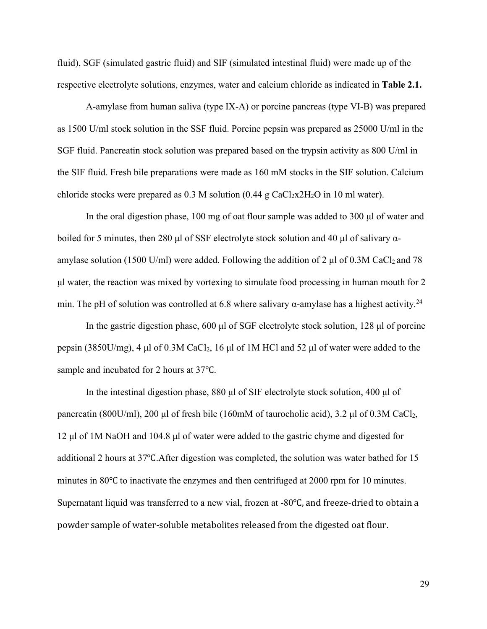fluid), SGF (simulated gastric fluid) and SIF (simulated intestinal fluid) were made up of the respective electrolyte solutions, enzymes, water and calcium chloride as indicated in **Table 2.1.**

A-amylase from human saliva (type IX-A) or porcine pancreas (type VI-B) was prepared as 1500 U/ml stock solution in the SSF fluid. Porcine pepsin was prepared as 25000 U/ml in the SGF fluid. Pancreatin stock solution was prepared based on the trypsin activity as 800 U/ml in the SIF fluid. Fresh bile preparations were made as160 mM stocks in the SIF solution. Calcium chloride stocks were prepared as  $0.3$  M solution  $(0.44 \text{ g } \text{CaCl}_2 \text{x} 2H_2 \text{O}$  in 10 ml water).

In the oral digestion phase, 100 mg of oat flour sample was added to 300 μl of water and boiled for 5 minutes, then 280 μl of SSF electrolyte stock solution and 40 μl of salivary  $\alpha$ amylase solution (1500 U/ml) were added. Following the addition of 2  $\mu$ l of 0.3M CaCl<sub>2</sub> and 78 μl water, the reaction was mixed by vortexing to simulate food processing in human mouth for 2 min. The pH of solution was controlled at 6.8 where salivary  $\alpha$ -amylase has a highest activity.<sup>24</sup>

In the gastric digestion phase, 600 μl of SGF electrolyte stock solution, 128 μl of porcine pepsin (3850U/mg), 4 μl of 0.3M CaCl<sub>2</sub>, 16 μl of 1M HCl and 52 μl of water were added to the sample and incubated for 2 hours at 37℃.

In the intestinal digestion phase, 880 μl of SIF electrolyte stock solution, 400 μl of pancreatin (800U/ml),200 μl of fresh bile (160mM of taurocholic acid), 3.2 μl of 0.3M CaCl2, 12 μl of 1M NaOH and 104.8μl of water were added to the gastric chyme and digested for additional 2 hours at 37℃.After digestion was completed, the solution was water bathed for 15 minutes in 80℃ to inactivate the enzymes and then centrifuged at 2000 rpm for 10 minutes. Supernatant liquid was transferred to a new vial, frozen at -80℃, and freeze-dried to obtain a powder sample of water-soluble metabolites released from the digested oat flour.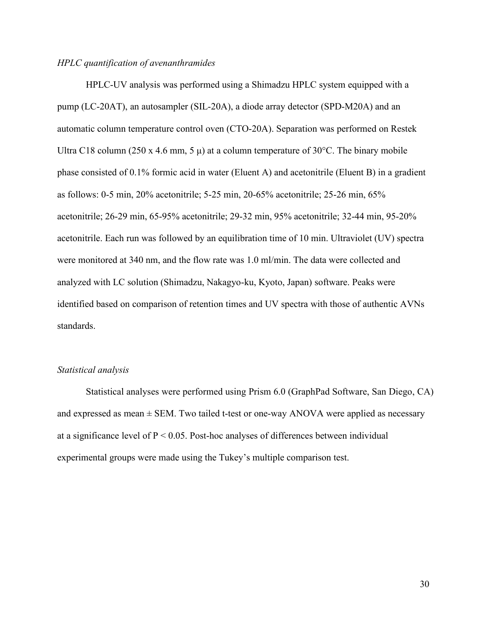#### *HPLC quantification of avenanthramides*

HPLC-UV analysis was performed using a Shimadzu HPLC system equipped with a pump (LC-20AT), an autosampler (SIL-20A), a diode array detector (SPD-M20A) and an automatic column temperature control oven (CTO-20A). Separation was performed on Restek Ultra C18 column (250 x 4.6 mm, 5  $\mu$ ) at a column temperature of 30°C. The binary mobile phase consisted of 0.1% formic acid in water (Eluent A) and acetonitrile (Eluent B) in a gradient as follows: 0-5 min, 20% acetonitrile; 5-25 min, 20-65% acetonitrile; 25-26 min, 65% acetonitrile; 26-29 min, 65-95% acetonitrile; 29-32 min, 95% acetonitrile; 32-44 min, 95-20% acetonitrile. Each run was followed by an equilibration time of 10 min. Ultraviolet (UV) spectra were monitored at 340 nm, and the flow rate was 1.0 ml/min. The data were collected and analyzed with LC solution (Shimadzu, Nakagyo-ku, Kyoto, Japan) software. Peaks were identified based on comparison of retention times and UV spectra with those of authentic AVNs standards.

#### *Statistical analysis*

Statistical analyses were performed using Prism 6.0 (GraphPad Software, San Diego, CA) and expressed as mean  $\pm$  SEM. Two tailed t-test or one-way ANOVA were applied as necessary at a significance level of  $P < 0.05$ . Post-hoc analyses of differences between individual experimental groups were made using the Tukey's multiple comparison test.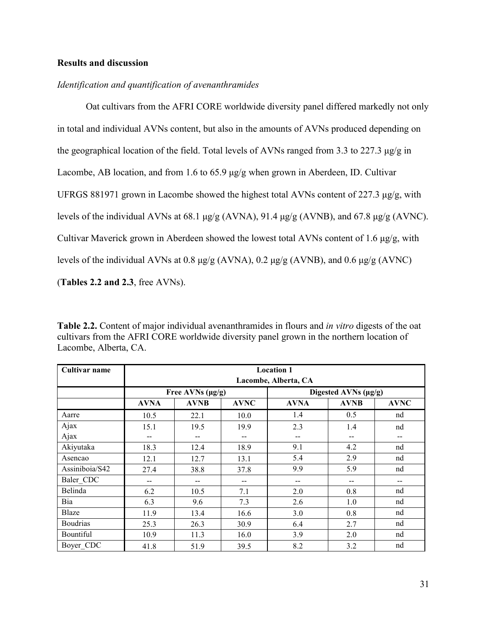# **Results and discussion**

### *Identification and quantification of avenanthramides*

Oat cultivars from the AFRI CORE worldwide diversity panel differed markedly not only in total and individual AVNs content, but also in the amounts of AVNs produced depending on the geographical location of the field. Total levels of AVNs ranged from 3.3 to 227.3  $\mu$ g/g in Lacombe, AB location, and from 1.6 to 65.9 μg/g when grown in Aberdeen, ID. Cultivar UFRGS 881971 grown in Lacombe showed the highest total AVNs content of 227.3 μg/g, with levels of the individual AVNs at 68.1 μg/g (AVNA), 91.4 μg/g (AVNB), and 67.8 μg/g (AVNC). Cultivar Maverick grown in Aberdeen showed the lowest total AVNs content of 1.6 μg/g, with levels of the individual AVNs at 0.8 μg/g (AVNA), 0.2 μg/g (AVNB), and 0.6 μg/g (AVNC) (**Tables 2.2 and 2.3**, free AVNs).

**Table 2.2.** Content of major individual avenanthramides in flours and *in vitro* digests of the oat cultivars from the AFRI CORE worldwide diversity panel grown in the northern location of Lacombe, Alberta, CA.

| Cultivar name   | <b>Location 1</b><br>Lacombe, Alberta, CA |                                       |                          |                          |                      |             |  |  |  |  |
|-----------------|-------------------------------------------|---------------------------------------|--------------------------|--------------------------|----------------------|-------------|--|--|--|--|
|                 |                                           |                                       |                          |                          |                      |             |  |  |  |  |
|                 |                                           | Free AVNs $(\mu g/g)$                 |                          |                          | Digested AVNs (µg/g) |             |  |  |  |  |
|                 | <b>AVNA</b>                               | <b>AVNB</b>                           | <b>AVNC</b>              | <b>AVNA</b>              | <b>AVNB</b>          | <b>AVNC</b> |  |  |  |  |
| Aarre           | 10.5                                      | 22.1                                  | 10.0                     | 1.4                      | 0.5                  | nd          |  |  |  |  |
| Ajax            | 15.1                                      | 19.5                                  | 19.9                     | 2.3                      | 1.4                  | nd          |  |  |  |  |
| Ajax            | --                                        | $\hspace{0.05cm}$ – $\hspace{0.05cm}$ | --                       | $-$                      | --                   | --          |  |  |  |  |
| Akiyutaka       | 18.3                                      | 12.4                                  | 18.9                     | 9.1                      | 4.2                  | nd          |  |  |  |  |
| Asencao         | 12.1                                      | 12.7                                  | 13.1                     | 5.4                      | 2.9                  | nd          |  |  |  |  |
| Assiniboia/S42  | 27.4                                      | 38.8                                  | 37.8                     | 9.9                      | 5.9                  | nd          |  |  |  |  |
| Baler CDC       | $\qquad \qquad -$                         | $\overline{\phantom{a}}$              | $\overline{\phantom{a}}$ | $\overline{\phantom{a}}$ | --                   | --          |  |  |  |  |
| Belinda         | 6.2                                       | 10.5                                  | 7.1                      | 2.0                      | 0.8                  | nd          |  |  |  |  |
| Bia             | 6.3                                       | 9.6                                   | 7.3                      | 2.6                      | 1.0                  | nd          |  |  |  |  |
| Blaze           | 11.9                                      | 13.4                                  | 16.6                     | 3.0                      | 0.8                  | nd          |  |  |  |  |
| <b>Boudrias</b> | 25.3                                      | 26.3                                  | 30.9                     | 6.4                      | 2.7                  | nd          |  |  |  |  |
| Bountiful       | 10.9                                      | 11.3                                  | 16.0                     | 3.9                      | 2.0                  | nd          |  |  |  |  |
| Boyer CDC       | 41.8                                      | 51.9                                  | 39.5                     | 8.2                      | 3.2                  | nd          |  |  |  |  |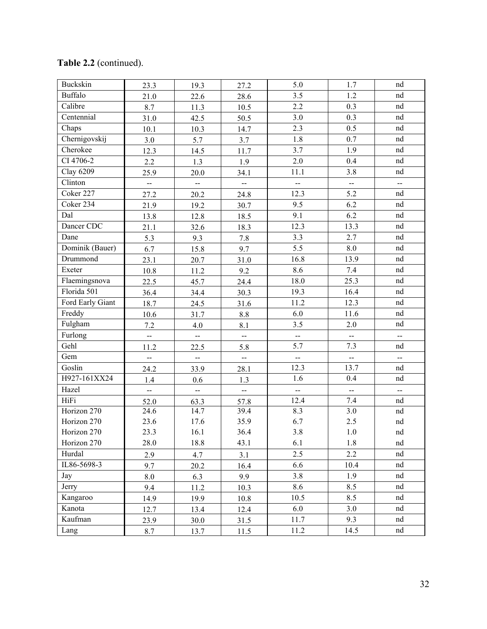| Buckskin         | 23.3                     | 19.3                        | 27.2                     | 5.0                      | 1.7                                           | nd                       |
|------------------|--------------------------|-----------------------------|--------------------------|--------------------------|-----------------------------------------------|--------------------------|
| <b>Buffalo</b>   | 21.0                     | 22.6                        | 28.6                     | 3.5                      | 1.2                                           | nd                       |
| Calibre          | 8.7                      | 11.3                        | 10.5                     | 2.2                      | 0.3                                           | nd                       |
| Centennial       | 31.0                     | 42.5                        | 50.5                     | 3.0                      | 0.3                                           | nd                       |
| Chaps            | 10.1                     | 10.3                        | 14.7                     | 2.3                      | 0.5                                           | nd                       |
| Chernigovskij    | 3.0                      | 5.7                         | 3.7                      | 1.8                      | 0.7                                           | nd                       |
| Cherokee         | 12.3                     | 14.5                        | 11.7                     | 3.7                      | 1.9                                           | nd                       |
| CI 4706-2        | 2.2                      | 1.3                         | 1.9                      | 2.0                      | 0.4                                           | nd                       |
| Clay 6209        | 25.9                     | 20.0                        | 34.1                     | 11.1                     | 3.8                                           | nd                       |
| Clinton          | --                       | --                          | —                        | --                       | $\mathord{\hspace{1pt}\text{--}\hspace{1pt}}$ | $ \sim$                  |
| Coker 227        | 27.2                     | 20.2                        | 24.8                     | 12.3                     | 5.2                                           | nd                       |
| Coker 234        | 21.9                     | 19.2                        | 30.7                     | 9.5                      | 6.2                                           | nd                       |
| Dal              | 13.8                     | 12.8                        | 18.5                     | 9.1                      | 6.2                                           | nd                       |
| Dancer CDC       | 21.1                     | 32.6                        | 18.3                     | 12.3                     | 13.3                                          | nd                       |
| Dane             | 5.3                      | 9.3                         | 7.8                      | 3.3                      | 2.7                                           | nd                       |
| Dominik (Bauer)  | 6.7                      | 15.8                        | 9.7                      | 5.5                      | 8.0                                           | nd                       |
| Drummond         | 23.1                     | 20.7                        | 31.0                     | 16.8                     | 13.9                                          | nd                       |
| Exeter           | 10.8                     | 11.2                        | 9.2                      | 8.6                      | 7.4                                           | nd                       |
| Flaemingsnova    | 22.5                     | 45.7                        | 24.4                     | 18.0                     | 25.3                                          | nd                       |
| Florida 501      | 36.4                     | 34.4                        | 30.3                     | 19.3                     | 16.4                                          | nd                       |
| Ford Early Giant | 18.7                     | 24.5                        | 31.6                     | 11.2                     | 12.3                                          | nd                       |
| Freddy           | 10.6                     | 31.7                        | $8.8\,$                  | 6.0                      | 11.6                                          | nd                       |
| Fulgham          | 7.2                      | 4.0                         | 8.1                      | 3.5                      | 2.0                                           | nd                       |
| Furlong          | --                       | --                          | $\overline{\phantom{a}}$ | $\overline{\phantom{a}}$ | $\overline{\phantom{a}}$                      | $\overline{\phantom{a}}$ |
| Gehl             | 11.2                     | 22.5                        | 5.8                      | 5.7                      | 7.3                                           | nd                       |
| Gem              | ш.                       | $\mathcal{L}_{\mathcal{F}}$ | $\frac{1}{2}$            | ш.                       | $\mathcal{L}_{\mathcal{L}}$                   | $\overline{a}$           |
| Goslin           | 24.2                     | 33.9                        | 28.1                     | 12.3                     | 13.7                                          | nd                       |
| H927-161XX24     | 1.4                      | 0.6                         | 1.3                      | 1.6                      | 0.4                                           | nd                       |
| Hazel            | $\overline{\phantom{a}}$ | $\mathbb{L}^2$              | $\bar{\phantom{a}}$      | --                       | $\mathord{\hspace{1pt}\text{--}\hspace{1pt}}$ | $\sim$                   |
| HiFi             | 52.0                     | 63.3                        | 57.8                     | 12.4                     | $7.4\,$                                       | nd                       |
| Horizon 270      | 24.6                     | 14.7                        | 39.4                     | 8.3                      | $\overline{3.0}$                              | nd                       |
| Horizon 270      | 23.6                     | 17.6                        | 35.9                     | 6.7                      | 2.5                                           | nd                       |
| Horizon 270      | 23.3                     | 16.1                        | 36.4                     | 3.8                      | $1.0\,$                                       | nd                       |
| Horizon 270      | 28.0                     | 18.8                        | 43.1                     | 6.1                      | 1.8                                           | nd                       |
| Hurdal           | 2.9                      | 4.7                         | 3.1                      | 2.5                      | 2.2                                           | nd                       |
| IL86-5698-3      | 9.7                      | 20.2                        | 16.4                     | 6.6                      | 10.4                                          | nd                       |
| Jay              | 8.0                      | 6.3                         | 9.9                      | 3.8                      | 1.9                                           | nd                       |
| Jerry            | 9.4                      | 11.2                        | 10.3                     | 8.6                      | 8.5                                           | nd                       |
| Kangaroo         | 14.9                     | 19.9                        | 10.8                     | 10.5                     | 8.5                                           | nd                       |
| Kanota           | 12.7                     | 13.4                        | 12.4                     | 6.0                      | 3.0                                           | nd                       |
| Kaufman          | 23.9                     | 30.0                        | 31.5                     | 11.7                     | 9.3                                           | nd                       |
| Lang             | 8.7                      | 13.7                        | 11.5                     | 11.2                     | 14.5                                          | nd                       |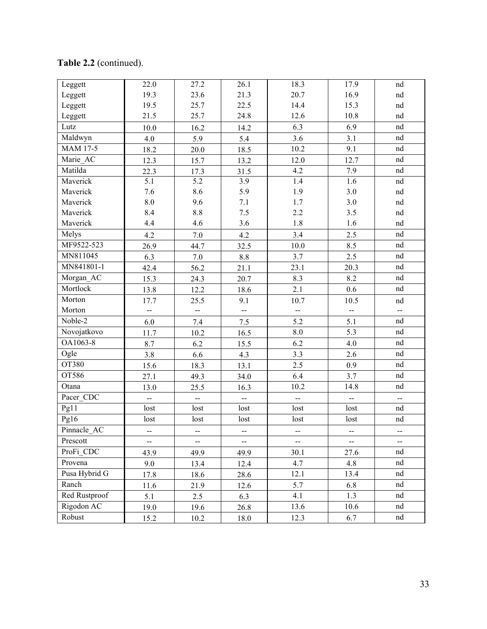| Leggett         | 22.0                     | 27.2                         | 26.1                         | 18.3                     | 17.9                     | nd                         |
|-----------------|--------------------------|------------------------------|------------------------------|--------------------------|--------------------------|----------------------------|
| Leggett         | 19.3                     | 23.6                         | 21.3                         | 20.7                     | 16.9                     | nd                         |
| Leggett         | 19.5                     | 25.7                         | 22.5                         | 14.4                     | 15.3                     | nd                         |
| Leggett         | 21.5                     | 25.7                         | 24.8                         | 12.6                     | 10.8                     | nd                         |
| Lutz            | $10.0$                   | 16.2                         | 14.2                         | 6.3                      | 6.9                      | nd                         |
| Maldwyn         | 4.0                      | 5.9                          | 5.4                          | 3.6                      | 3.1                      | nd                         |
| <b>MAM 17-5</b> | 18.2                     | $20.0\,$                     | 18.5                         | 10.2                     | 9.1                      | nd                         |
| Marie_AC        | 12.3                     | 15.7                         | 13.2                         | 12.0                     | 12.7                     | nd                         |
| Matilda         | 22.3                     | 17.3                         | 31.5                         | 4.2                      | 7.9                      | nd                         |
| Maverick        | 5.1                      | 5.2                          | 3.9                          | 1.4                      | 1.6                      | nd                         |
| Maverick        | 7.6                      | 8.6                          | 5.9                          | 1.9                      | $3.0\,$                  | nd                         |
| Maverick        | $\ \, 8.0$               | 9.6                          | $7.1\,$                      | 1.7                      | $3.0\,$                  | nd                         |
| Maverick        | 8.4                      | 8.8                          | $7.5\,$                      | $2.2\,$                  | 3.5                      | nd                         |
| Maverick        | 4.4                      | 4.6                          | 3.6                          | 1.8                      | 1.6                      | nd                         |
| Melys           | 4.2                      | $7.0\,$                      | 4.2                          | 3.4                      | 2.5                      | nd                         |
| MF9522-523      | 26.9                     | 44.7                         | 32.5                         | 10.0                     | 8.5                      | nd                         |
| MN811045        | 6.3                      | 7.0                          | $8.8\,$                      | 3.7                      | 2.5                      | nd                         |
| MN841801-1      | 42.4                     | 56.2                         | 21.1                         | 23.1                     | 20.3                     | nd                         |
| Morgan_AC       | 15.3                     | 24.3                         | 20.7                         | 8.3                      | 8.2                      | nd                         |
| Mortlock        | 13.8                     | 12.2                         | 18.6                         | 2.1                      | 0.6                      | nd                         |
| Morton          | 17.7                     | 25.5                         | 9.1                          | 10.7                     | 10.5                     | nd                         |
| Morton          | $\overline{\phantom{a}}$ | $\frac{1}{2}$                | $\overline{\phantom{a}}$     | $\overline{\phantom{a}}$ | $\overline{\phantom{a}}$ | $\frac{1}{2}$              |
| $Noble-2$       | 6.0                      | 7.4                          | 7.5                          | 5.2                      | 5.1                      | $\mathop{\rm nd}\nolimits$ |
| Novojatkovo     | 11.7                     | 10.2                         | 16.5                         | 8.0                      | 5.3                      | nd                         |
| OA1063-8        | 8.7                      | 6.2                          | 15.5                         | 6.2                      | 4.0                      | nd                         |
| Ogle            | 3.8                      | 6.6                          | 4.3                          | 3.3                      | 2.6                      | nd                         |
| OT380           | 15.6                     | 18.3                         | 13.1                         | 2.5                      | 0.9                      | nd                         |
| OT586           | 27.1                     | 49.3                         | 34.0                         | 6.4                      | 3.7                      | nd                         |
| Otana           | 13.0                     | 25.5                         | 16.3                         | 10.2                     | 14.8                     | nd                         |
| Pacer_CDC       |                          | --                           | --                           | --                       | $\sim$                   | $\sim$                     |
| Pg11            | lost                     | lost                         | lost                         | lost                     | lost                     | nd                         |
| Pg16            | lost                     | lost                         | lost                         | lost                     | lost                     | nd                         |
| Pinnacle AC     | --                       | --                           | $\overline{\phantom{a}}$     | --                       | ⊷                        | ⊷                          |
| Prescott        | $\overline{\phantom{a}}$ | $\qquad \qquad \blacksquare$ | $\qquad \qquad \blacksquare$ | Ξ.                       | $\overline{\phantom{a}}$ | -−                         |
| ProFi_CDC       | 43.9                     | 49.9                         | 49.9                         | 30.1                     | 27.6                     | nd                         |
| Provena         | 9.0                      | 13.4                         | 12.4                         | 4.7                      | 4.8                      | nd                         |
| Pusa Hybrid G   | 17.8                     | 18.6                         | 28.6                         | 12.1                     | 13.4                     | nd                         |
| Ranch           | 11.6                     | 21.9                         | 12.6                         | 5.7                      | 6.8                      | nd                         |
| Red Rustproof   | 5.1                      | 2.5                          | 6.3                          | 4.1                      | 1.3                      | nd                         |
| Rigodon AC      | 19.0                     | 19.6                         | 26.8                         | 13.6                     | 10.6                     | nd                         |
|                 | 15.2                     | 10.2                         | 18.0                         | 12.3                     | 6.7                      | nd                         |
| Robust          |                          |                              |                              |                          |                          |                            |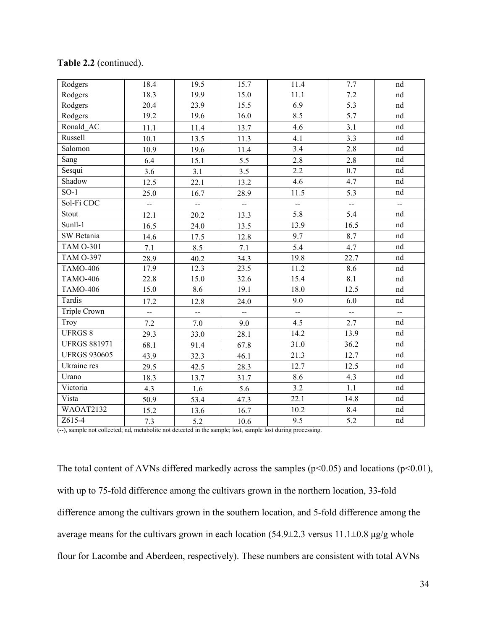| Rodgers             | 18.4           | 19.5                     | 15.7                        | 11.4                     | 7.7           | nd                          |
|---------------------|----------------|--------------------------|-----------------------------|--------------------------|---------------|-----------------------------|
| Rodgers             | 18.3           | 19.9                     | 15.0                        | 11.1                     | $7.2\,$       | nd                          |
| Rodgers             | 20.4           | 23.9                     | 15.5                        | 6.9                      | 5.3           | nd                          |
| Rodgers             | 19.2           | 19.6                     | 16.0                        | 8.5                      | 5.7           | nd                          |
| Ronald AC           | 11.1           | 11.4                     | 13.7                        | 4.6                      | 3.1           | nd                          |
| Russell             | 10.1           | 13.5                     | 11.3                        | 4.1                      | 3.3           | nd                          |
| Salomon             | 10.9           | 19.6                     | 11.4                        | 3.4                      | 2.8           | nd                          |
| Sang                | 6.4            | 15.1                     | 5.5                         | 2.8                      | 2.8           | nd                          |
| Sesqui              | 3.6            | 3.1                      | 3.5                         | 2.2                      | 0.7           | nd                          |
| Shadow              | 12.5           | 22.1                     | 13.2                        | 4.6                      | 4.7           | nd                          |
| $SO-1$              | 25.0           | 16.7                     | 28.9                        | 11.5                     | 5.3           | nd                          |
| Sol-Fi CDC          | --             | $\overline{\phantom{a}}$ | $\mathcal{L}_{\mathcal{F}}$ | --                       | --            | $\overline{\phantom{a}}$    |
| Stout               | 12.1           | 20.2                     | 13.3                        | 5.8                      | 5.4           | nd                          |
| Sunll-1             | 16.5           | 24.0                     | 13.5                        | 13.9                     | 16.5          | nd                          |
| SW Betania          | 14.6           | 17.5                     | 12.8                        | 9.7                      | 8.7           | nd                          |
| <b>TAM O-301</b>    | 7.1            | 8.5                      | 7.1                         | 5.4                      | 4.7           | nd                          |
| <b>TAM O-397</b>    | 28.9           | 40.2                     | 34.3                        | 19.8                     | 22.7          | nd                          |
| <b>TAMO-406</b>     | 17.9           | 12.3                     | 23.5                        | 11.2                     | 8.6           | nd                          |
| <b>TAMO-406</b>     | 22.8           | 15.0                     | 32.6                        | 15.4                     | 8.1           | nd                          |
| <b>TAMO-406</b>     | 15.0           | 8.6                      | 19.1                        | 18.0                     | 12.5          | nd                          |
| Tardis              | 17.2           | 12.8                     | 24.0                        | 9.0                      | 6.0           | nd                          |
| Triple Crown        | $\overline{a}$ | $\overline{\phantom{a}}$ | $\frac{1}{2}$               | $\overline{\phantom{a}}$ | $\frac{1}{2}$ | $\mathcal{L}_{\mathcal{F}}$ |
| Troy                | 7.2            | 7.0                      | 9.0                         | 4.5                      | 2.7           | nd                          |
| <b>UFRGS 8</b>      | 29.3           | 33.0                     | 28.1                        | 14.2                     | 13.9          | nd                          |
| <b>UFRGS 881971</b> | 68.1           | 91.4                     | 67.8                        | 31.0                     | 36.2          | nd                          |
| <b>UFRGS 930605</b> | 43.9           | 32.3                     | 46.1                        | 21.3                     | 12.7          | nd                          |
| Ukraine res         | 29.5           | 42.5                     | 28.3                        | 12.7                     | 12.5          | nd                          |
| Urano               | 18.3           | 13.7                     | 31.7                        | 8.6                      | 4.3           | nd                          |
| Victoria            | 4.3            | 1.6                      | 5.6                         | 3.2                      | 1.1           | nd                          |
| Vista               | 50.9           | 53.4                     | 47.3                        | 22.1                     | 14.8          | nd                          |
| WAOAT2132           | 15.2           | 13.6                     | 16.7                        | 10.2                     | 8.4           | nd                          |
| Z615-4              | 7.3            | 5.2                      | 10.6                        | 9.5                      | 5.2           | nd                          |

# **Table 2.2** (continued).

(--), sample not collected; nd, metabolite not detected in the sample; lost, sample lost during processing.

The total content of AVNs differed markedly across the samples ( $p<0.05$ ) and locations ( $p<0.01$ ), with up to 75-fold difference among the cultivars grown in the northern location, 33-fold difference among the cultivars grown in the southern location, and 5-fold difference among the average means for the cultivars grown in each location  $(54.9\pm 2.3 \text{ versus } 11.1\pm 0.8 \text{ µg/g whole})$ flour for Lacombe and Aberdeen, respectively). These numbers are consistent with total AVNs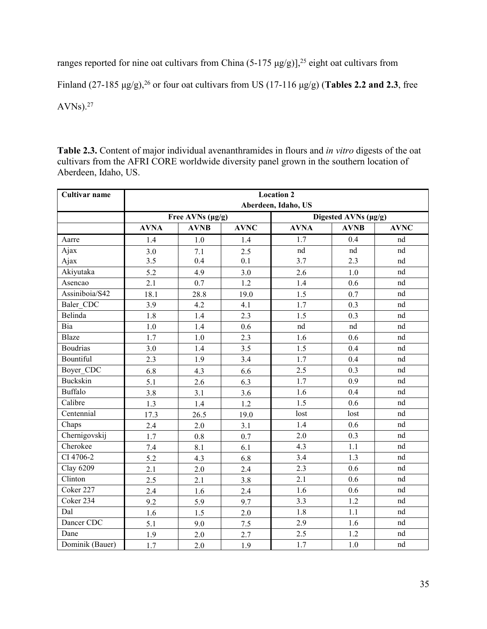ranges reported for nine oat cultivars from China  $(5-175 \mu g/g)$ ],<sup>25</sup> eight oat cultivars from

Finland (27-185 μg/g),<sup>26</sup> or four oat cultivars from US (17-116 μg/g) (**Tables 2.2 and 2.3**, free

 $AVNs$ ).<sup>27</sup>

Table 2.3. Content of major individual avenanthramides in flours and *in vitro* digests of the oat cultivars from the AFRI CORE worldwide diversity panel grown in the southern location of Aberdeen, Idaho, US.

| Cultivar name    | <b>Location 2</b>   |                       |             |             |                      |             |  |  |  |  |
|------------------|---------------------|-----------------------|-------------|-------------|----------------------|-------------|--|--|--|--|
|                  | Aberdeen, Idaho, US |                       |             |             |                      |             |  |  |  |  |
|                  |                     | Free AVNs $(\mu g/g)$ |             |             | Digested AVNs (µg/g) |             |  |  |  |  |
|                  | <b>AVNA</b>         | <b>AVNB</b>           | <b>AVNC</b> | <b>AVNA</b> | <b>AVNB</b>          | <b>AVNC</b> |  |  |  |  |
| Aarre            | 1.4                 | 1.0                   | 1.4         | 1.7         | 0.4                  | nd          |  |  |  |  |
| Ajax             | 3.0                 | 7.1                   | 2.5         | nd          | nd                   | nd          |  |  |  |  |
| Ajax             | 3.5                 | 0.4                   | 0.1         | 3.7         | 2.3                  | nd          |  |  |  |  |
| Akiyutaka        | 5.2                 | 4.9                   | 3.0         | 2.6         | 1.0                  | nd          |  |  |  |  |
| Asencao          | 2.1                 | 0.7                   | 1.2         | 1.4         | 0.6                  | nd          |  |  |  |  |
| Assiniboia/S42   | 18.1                | 28.8                  | 19.0        | 1.5         | 0.7                  | nd          |  |  |  |  |
| Baler_CDC        | 3.9                 | 4.2                   | 4.1         | 1.7         | 0.3                  | $^{\rm nd}$ |  |  |  |  |
| Belinda          | 1.8                 | 1.4                   | 2.3         | 1.5         | 0.3                  | nd          |  |  |  |  |
| Bia              | 1.0                 | 1.4                   | 0.6         | nd          | nd                   | $^{\rm nd}$ |  |  |  |  |
| Blaze            | 1.7                 | 1.0                   | 2.3         | 1.6         | 0.6                  | nd          |  |  |  |  |
| <b>Boudrias</b>  | 3.0                 | 1.4                   | 3.5         | 1.5         | 0.4                  | nd          |  |  |  |  |
| Bountiful        | 2.3                 | 1.9                   | 3.4         | 1.7         | 0.4                  | nd          |  |  |  |  |
| Boyer CDC        | 6.8                 | 4.3                   | 6.6         | 2.5         | 0.3                  | nd          |  |  |  |  |
| Buckskin         | 5.1                 | 2.6                   | 6.3         | 1.7         | 0.9                  | nd          |  |  |  |  |
| <b>Buffalo</b>   | 3.8                 | 3.1                   | 3.6         | 1.6         | 0.4                  | $^{\rm nd}$ |  |  |  |  |
| Calibre          | 1.3                 | 1.4                   | 1.2         | 1.5         | 0.6                  | nd          |  |  |  |  |
| Centennial       | 17.3                | 26.5                  | 19.0        | lost        | lost                 | nd          |  |  |  |  |
| Chaps            | 2.4                 | 2.0                   | 3.1         | 1.4         | 0.6                  | nd          |  |  |  |  |
| Chernigovskij    | 1.7                 | $0.8\,$               | 0.7         | $2.0$       | 0.3                  | nd          |  |  |  |  |
| Cherokee         | 7.4                 | 8.1                   | 6.1         | 4.3         | 1.1                  | nd          |  |  |  |  |
| CI 4706-2        | 5.2                 | 4.3                   | 6.8         | 3.4         | 1.3                  | nd          |  |  |  |  |
| <b>Clay 6209</b> | 2.1                 | 2.0                   | 2.4         | 2.3         | 0.6                  | $^{\rm nd}$ |  |  |  |  |
| Clinton          | 2.5                 | 2.1                   | 3.8         | 2.1         | 0.6                  | $^{\rm nd}$ |  |  |  |  |
| Coker 227        | 2.4                 | 1.6                   | 2.4         | 1.6         | 0.6                  | nd          |  |  |  |  |
| Coker 234        | 9.2                 | 5.9                   | 9.7         | 3.3         | 1.2                  | nd          |  |  |  |  |
| Dal              | 1.6                 | 1.5                   | 2.0         | 1.8         | $1.1\,$              | nd          |  |  |  |  |
| Dancer CDC       | 5.1                 | 9.0                   | 7.5         | 2.9         | 1.6                  | $^{\rm nd}$ |  |  |  |  |
| Dane             | 1.9                 | 2.0                   | 2.7         | 2.5         | $1.2$                | nd          |  |  |  |  |
| Dominik (Bauer)  | 1.7                 | 2.0                   | 1.9         | 1.7         | 1.0                  | nd          |  |  |  |  |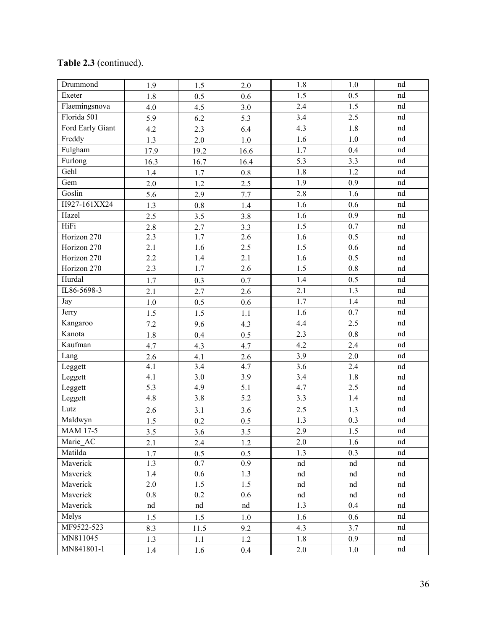| Drummond         | 1.9     | 1.5     | 2.0     | 1.8                        | 1.0     | nd          |
|------------------|---------|---------|---------|----------------------------|---------|-------------|
| Exeter           | 1.8     | 0.5     | 0.6     | 1.5                        | 0.5     | nd          |
| Flaemingsnova    | 4.0     | 4.5     | 3.0     | 2.4                        | 1.5     | $^{\rm nd}$ |
| Florida 501      | 5.9     | 6.2     | 5.3     | 3.4                        | 2.5     | $^{\rm nd}$ |
| Ford Early Giant | 4.2     | 2.3     | 6.4     | 4.3                        | 1.8     | nd          |
| Freddy           | 1.3     | $2.0$   | $1.0$   | 1.6                        | 1.0     | nd          |
| Fulgham          | 17.9    | 19.2    | 16.6    | 1.7                        | 0.4     | nd          |
| Furlong          | 16.3    | 16.7    | 16.4    | 5.3                        | 3.3     | nd          |
| Gehl             | 1.4     | 1.7     | $0.8\,$ | 1.8                        | 1.2     | nd          |
| Gem              | $2.0$   | 1.2     | 2.5     | 1.9                        | 0.9     | $^{\rm nd}$ |
| Goslin           | 5.6     | 2.9     | 7.7     | 2.8                        | 1.6     | $^{\rm nd}$ |
| H927-161XX24     | 1.3     | $0.8\,$ | 1.4     | 1.6                        | 0.6     | nd          |
| Hazel            | 2.5     | 3.5     | 3.8     | 1.6                        | 0.9     | nd          |
| HiFi             | $2.8\,$ | 2.7     | 3.3     | 1.5                        | 0.7     | nd          |
| Horizon 270      | 2.3     | 1.7     | 2.6     | 1.6                        | 0.5     | nd          |
| Horizon 270      | 2.1     | 1.6     | 2.5     | $1.5\,$                    | 0.6     | nd          |
| Horizon 270      | 2.2     | 1.4     | 2.1     | 1.6                        | 0.5     | nd          |
| Horizon 270      | 2.3     | 1.7     | 2.6     | 1.5                        | $0.8\,$ | nd          |
| Hurdal           | 1.7     | 0.3     | 0.7     | 1.4                        | 0.5     | $^{\rm nd}$ |
| IL86-5698-3      | 2.1     | 2.7     | 2.6     | 2.1                        | 1.3     | nd          |
| Jay              | $1.0\,$ | 0.5     | $0.6\,$ | 1.7                        | 1.4     | $^{\rm nd}$ |
| Jerry            | 1.5     | 1.5     | 1.1     | 1.6                        | 0.7     | $^{\rm nd}$ |
| Kangaroo         | 7.2     | 9.6     | 4.3     | 4.4                        | 2.5     | nd          |
| Kanota           | 1.8     | 0.4     | 0.5     | 2.3                        | 0.8     | $^{\rm nd}$ |
| Kaufman          | 4.7     | 4.3     | 4.7     | 4.2                        | 2.4     | $^{\rm nd}$ |
| Lang             | 2.6     | 4.1     | 2.6     | 3.9                        | 2.0     | nd          |
| Leggett          | 4.1     | 3.4     | 4.7     | $\overline{3.6}$           | 2.4     | nd          |
| Leggett          | 4.1     | 3.0     | 3.9     | 3.4                        | 1.8     | nd          |
| Leggett          | 5.3     | 4.9     | 5.1     | 4.7                        | 2.5     | nd          |
| Leggett          | 4.8     | 3.8     | 5.2     | 3.3                        | 1.4     | nd          |
| Lutz             | 2.6     | 3.1     | 3.6     | 2.5                        | 1.3     | $^{\rm nd}$ |
| Maldwyn          | 1.5     | 0.2     | 0.5     | 1.3                        | 0.3     | nd          |
| <b>MAM 17-5</b>  | 3.5     | 3.6     | 3.5     | 2.9                        | 1.5     | $^{\rm nd}$ |
| Marie_AC         | 2.1     | 2.4     | 1.2     | 2.0                        | 1.6     | nd          |
| Matilda          | 1.7     | 0.5     | 0.5     | 1.3                        | 0.3     | $^{\rm nd}$ |
| Maverick         | 1.3     | 0.7     | 0.9     | $\mathop{\rm nd}\nolimits$ | nd      | $^{\rm nd}$ |
| Maverick         | $1.4$   | $0.6\,$ | 1.3     | nd                         | nd      | nd          |
| Maverick         | $2.0\,$ | 1.5     | $1.5$   | $^{\rm nd}$                | nd      | nd          |
| Maverick         | $0.8\,$ | 0.2     | $0.6\,$ | $^{\rm nd}$                | nd      | nd          |
| Maverick         | nd      | nd      | nd      | 1.3                        | 0.4     | nd          |
| Melys            | 1.5     | 1.5     | 1.0     | 1.6                        | $0.6\,$ | $^{\rm nd}$ |
| MF9522-523       | 8.3     | 11.5    | 9.2     | 4.3                        | 3.7     | nd          |
| MN811045         | 1.3     | 1.1     | 1.2     | 1.8                        | 0.9     | nd          |
| MN841801-1       | 1.4     | 1.6     | $0.4\,$ | $2.0\,$                    | $1.0\,$ | nd          |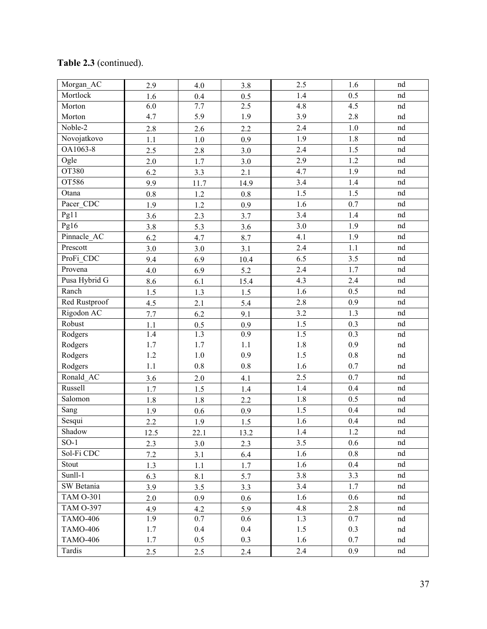| Morgan_AC        | 2.9     | 4.0     | 3.8     | 2.5     | 1.6     | nd                         |
|------------------|---------|---------|---------|---------|---------|----------------------------|
| Mortlock         | 1.6     | 0.4     | 0.5     | 1.4     | 0.5     | $\mathop{\rm nd}\nolimits$ |
| Morton           | 6.0     | 7.7     | 2.5     | 4.8     | 4.5     | $^{\rm nd}$                |
| Morton           | 4.7     | 5.9     | 1.9     | 3.9     | $2.8\,$ | nd                         |
| Noble-2          | 2.8     | 2.6     | 2.2     | 2.4     | 1.0     | $^{\rm nd}$                |
| Novojatkovo      | 1.1     | $1.0\,$ | 0.9     | 1.9     | 1.8     | $^{\rm nd}$                |
| OA1063-8         | 2.5     | 2.8     | 3.0     | 2.4     | 1.5     | $^{\rm nd}$                |
| Ogle             | 2.0     | 1.7     | 3.0     | 2.9     | 1.2     | nd                         |
| OT380            | 6.2     | 3.3     | 2.1     | 4.7     | 1.9     | nd                         |
| OT586            | 9.9     | 11.7    | 14.9    | 3.4     | 1.4     | $^{\rm nd}$                |
| Otana            | $0.8\,$ | 1.2     | $0.8\,$ | 1.5     | 1.5     | $^{\rm nd}$                |
| Pacer_CDC        | 1.9     | 1.2     | 0.9     | 1.6     | 0.7     | nd                         |
| Pg11             | 3.6     | 2.3     | 3.7     | 3.4     | 1.4     | $^{\rm nd}$                |
| Pg16             | 3.8     | 5.3     | 3.6     | 3.0     | 1.9     | $^{\rm nd}$                |
| Pinnacle AC      | 6.2     | 4.7     | 8.7     | 4.1     | 1.9     | nd                         |
| Prescott         | 3.0     | 3.0     | 3.1     | 2.4     | 1.1     | nd                         |
| ProFi_CDC        | 9.4     | 6.9     | 10.4    | 6.5     | 3.5     | $^{\rm nd}$                |
| Provena          | 4.0     | 6.9     | 5.2     | 2.4     | 1.7     | $^{\rm nd}$                |
| Pusa Hybrid G    | 8.6     | 6.1     | 15.4    | 4.3     | 2.4     | nd                         |
| Ranch            | 1.5     | 1.3     | 1.5     | 1.6     | 0.5     | $^{\rm nd}$                |
| Red Rustproof    | 4.5     | 2.1     | 5.4     | 2.8     | 0.9     | $^{\rm nd}$                |
| Rigodon AC       | 7.7     | 6.2     | 9.1     | 3.2     | 1.3     | nd                         |
| Robust           | 1.1     | 0.5     | 0.9     | 1.5     | 0.3     | $^{\rm nd}$                |
| Rodgers          | $1.4\,$ | 1.3     | 0.9     | $1.5$   | 0.3     | $^{\rm nd}$                |
| Rodgers          | 1.7     | 1.7     | 1.1     | $1.8\,$ | 0.9     | $^{\rm nd}$                |
| Rodgers          | $1.2\,$ | $1.0\,$ | 0.9     | 1.5     | $0.8\,$ | nd                         |
| Rodgers          | 1.1     | $0.8\,$ | $0.8\,$ | 1.6     | 0.7     | nd                         |
| Ronald_AC        | 3.6     | $2.0$   | 4.1     | 2.5     | 0.7     | $^{\rm nd}$                |
| Russell          | 1.7     | 1.5     | 1.4     | 1.4     | 0.4     | $^{\rm nd}$                |
| Salomon          | 1.8     | 1.8     | 2.2     | 1.8     | 0.5     | nd                         |
| Sang             | 1.9     | 0.6     | 0.9     | 1.5     | 0.4     | $\mathop{\rm nd}\nolimits$ |
| Sesqui           | 2.2     | 1.9     | 1.5     | 1.6     | 0.4     | nd                         |
| Shadow           | 12.5    | 22.1    | 13.2    | 1.4     | 1.2     | nd                         |
| $SO-1$           | 2.3     | 3.0     | 2.3     | 3.5     | $0.6\,$ | nd                         |
| Sol-Fi CDC       | $7.2$   | 3.1     | 6.4     | 1.6     | 0.8     | nd                         |
| Stout            | 1.3     | 1.1     | 1.7     | 1.6     | 0.4     | nd                         |
| Sunll-1          | 6.3     | 8.1     | 5.7     | 3.8     | 3.3     | nd                         |
| SW Betania       | 3.9     | 3.5     | 3.3     | 3.4     | 1.7     | nd                         |
| <b>TAM O-301</b> | 2.0     | 0.9     | 0.6     | 1.6     | 0.6     | nd                         |
| <b>TAM O-397</b> | 4.9     | 4.2     | 5.9     | 4.8     | 2.8     | nd                         |
| <b>TAMO-406</b>  | 1.9     | 0.7     | 0.6     | 1.3     | 0.7     | nd                         |
| <b>TAMO-406</b>  | 1.7     | 0.4     | 0.4     | 1.5     | 0.3     | nd                         |
| <b>TAMO-406</b>  | 1.7     | 0.5     | 0.3     | 1.6     | 0.7     | nd                         |
| Tardis           | 2.5     | 2.5     | 2.4     | 2.4     | 0.9     | nd                         |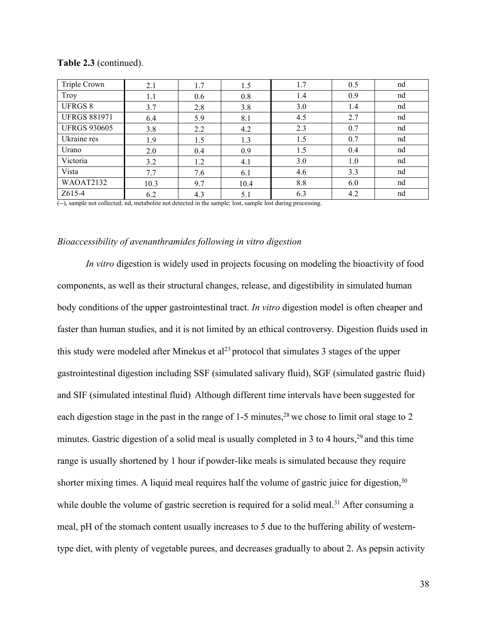| Triple Crown        | 2.1  | 1.7 | 1.5  | 1.7 | 0.5 | nd |
|---------------------|------|-----|------|-----|-----|----|
| Troy                | 1.1  | 0.6 | 0.8  | 1.4 | 0.9 | nd |
| <b>UFRGS 8</b>      | 3.7  | 2.8 | 3.8  | 3.0 | 1.4 | nd |
| <b>UFRGS 881971</b> | 6.4  | 5.9 | 8.1  | 4.5 | 2.7 | nd |
| <b>UFRGS 930605</b> | 3.8  | 2.2 | 4.2  | 2.3 | 0.7 | nd |
| Ukraine res         | 1.9  | 1.5 | 1.3  | 1.5 | 0.7 | nd |
| Urano               | 2.0  | 0.4 | 0.9  | 1.5 | 0.4 | nd |
| Victoria            | 3.2  | 1.2 | 4.1  | 3.0 | 1.0 | nd |
| Vista               | 7.7  | 7.6 | 6.1  | 4.6 | 3.3 | nd |
| WAOAT2132           | 10.3 | 9.7 | 10.4 | 8.8 | 6.0 | nd |
| Z615-4              | 6.2  | 4.3 | 5.1  | 6.3 | 4.2 | nd |

**Table 2.3** (continued).

(--), sample not collected; nd, metabolite not detected in the sample; lost, sample lost during processing.

#### *Bioaccessibility of avenanthramides following in vitro digestion*

*In vitro* digestion is widely used in projects focusing on modeling the bioactivity of food components, as well as their structural changes, release, and digestibility in simulated human body conditions of the upper gastrointestinal tract. *In vitro* digestion model is often cheaper and faster than human studies, and it is not limited by an ethical controversy. Digestion fluids used in this study were modeled after Minekus et al<sup>23</sup> protocol that simulates 3 stages of the upper gastrointestinal digestion including SSF (simulated salivary fluid), SGF (simulated gastric fluid) and SIF (simulated intestinal fluid). Although different time intervals have been suggested for each digestion stage in the past in the range of 1-5 minutes,  $2<sup>8</sup>$  we chose to limit oral stage to 2 minutes. Gastric digestion of a solid meal is usually completed in  $3$  to  $4$  hours,<sup>29</sup> and this time range is usually shortened by 1 hour if powder-like meals is simulated because they require shorter mixing times. A liquid meal requires half the volume of gastric juice for digestion,<sup>30</sup> while double the volume of gastric secretion is required for a solid meal.<sup>31</sup> After consuming a meal, pH of the stomach content usually increases to 5 due to the buffering ability of westerntype diet, with plenty of vegetable purees, and decreases gradually to about 2. As pepsin activity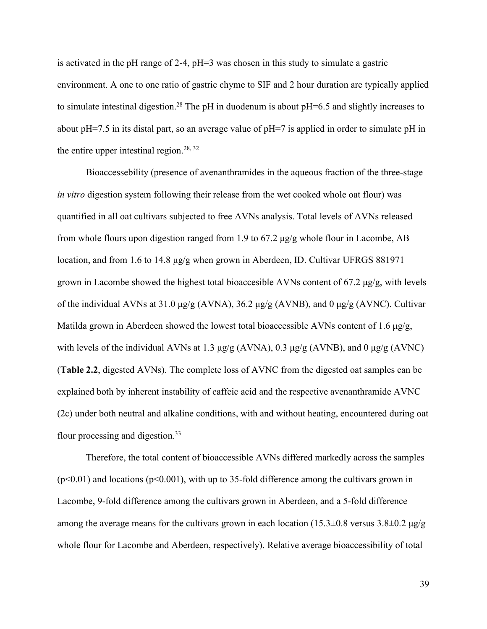is activated in the pH range of 2-4, pH=3 was chosen in this study to simulate a gastric environment. A one to one ratio of gastric chyme to SIF and 2 hour duration are typically applied to simulate intestinal digestion.<sup>28</sup> The pH in duodenum is about pH=6.5 and slightly increases to about pH=7.5 in its distal part, so an average value of pH=7 is applied in order to simulate pH in the entire upper intestinal region.<sup>28, 32</sup>

Bioaccessebility (presence of avenanthramides in the aqueous fraction of the three-stage *in vitro* digestion system following their release from the wet cooked whole oat flour) was quantified in all oat cultivars subjected to free AVNs analysis. Total levels of AVNs released from whole flours upon digestion ranged from 1.9 to 67.2 μg/g whole flour in Lacombe, AB location, and from 1.6 to 14.8 μg/g when grown in Aberdeen, ID. Cultivar UFRGS 881971 grown in Lacombe showed the highest total bioaccesible AVNs content of  $67.2 \mu g/g$ , with levels of the individual AVNs at 31.0 μg/g (AVNA), 36.2 μg/g (AVNB), and 0 μg/g (AVNC). Cultivar Matilda grown in Aberdeen showed the lowest total bioaccessible AVNs content of 1.6 μg/g, with levels of the individual AVNs at 1.3  $\mu$ g/g (AVNA), 0.3  $\mu$ g/g (AVNB), and 0  $\mu$ g/g (AVNC) (**Table 2.2**, digested AVNs). The complete loss of AVNC from the digested oat samples can be explained both by inherent instability of caffeic acid and the respective avenanthramide AVNC (2c) under both neutral and alkaline conditions, with and without heating, encountered during oat flour processing and digestion.<sup>33</sup>

Therefore, the total content of bioaccessible AVNs differed markedly across the samples  $(p<0.01)$  and locations  $(p<0.001)$ , with up to 35-fold difference among the cultivars grown in Lacombe, 9-fold difference among the cultivars grown in Aberdeen, and a 5-fold difference among the average means for the cultivars grown in each location (15.3 $\pm$ 0.8 versus 3.8 $\pm$ 0.2 μg/g whole flour for Lacombe and Aberdeen, respectively). Relative average bioaccessibility of total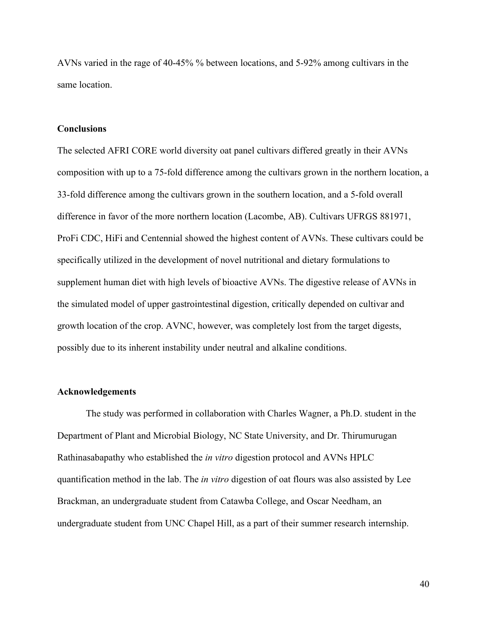AVNs varied in the rage of 40-45% % between locations, and 5-92% among cultivars in the same location.

#### **Conclusions**

The selected AFRI CORE world diversity oat panel cultivars differed greatly in their AVNs composition with up to a 75-fold difference among the cultivars grown in the northern location, a 33-fold difference among the cultivars grown in the southern location, and a 5-fold overall difference in favor of the more northern location (Lacombe, AB). Cultivars UFRGS 881971, ProFi CDC, HiFi and Centennial showed the highest content of AVNs. These cultivars could be specifically utilized in the development of novel nutritional and dietary formulations to supplement human diet with high levels of bioactive AVNs. The digestive release of AVNs in the simulated model of upper gastrointestinal digestion, critically depended on cultivar and growth location of the crop. AVNC, however, was completely lost from the target digests, possibly due to its inherent instability under neutral and alkaline conditions.

### **Acknowledgements**

The study was performed in collaboration with Charles Wagner, a Ph.D. student in the Department of Plant and Microbial Biology, NC State University, and Dr. Thirumurugan Rathinasabapathy who established the *in vitro* digestion protocol and AVNs HPLC quantification method in the lab. The *in vitro* digestion of oat flours was also assisted by Lee Brackman, an undergraduate student from Catawba College, and Oscar Needham, an undergraduate student from UNC Chapel Hill, as a part of their summer research internship.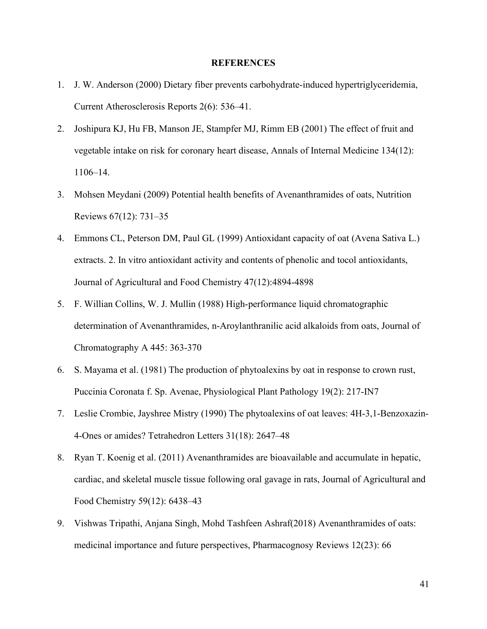#### **REFERENCES**

- 1. J. W. Anderson (2000) Dietary fiber prevents carbohydrate-induced hypertriglyceridemia, Current Atherosclerosis Reports 2(6):536–41.
- 2. Joshipura KJ, Hu FB, Manson JE, Stampfer MJ, Rimm EB (2001) The effect of fruit and vegetable intake on risk for coronary heart disease, Annals of Internal Medicine 134(12): 1106–14.
- 3. Mohsen Meydani (2009) Potential health benefits of Avenanthramides of oats, Nutrition Reviews 67(12): 731–35
- 4. Emmons CL, Peterson DM, Paul GL (1999) Antioxidant capacity of oat (Avena Sativa L.) extracts. 2. In vitro antioxidant activity and contents of phenolic and tocol antioxidants, Journal of Agricultural and Food Chemistry 47(12):4894-4898
- 5. F. Willian Collins, W. J. Mullin (1988) High-performance liquid chromatographic determination of Avenanthramides, n-Aroylanthranilic acid alkaloids from oats, Journal of Chromatography A 445: 363-370
- 6. S. Mayama et al. (1981) The production of phytoalexins by oat in response to crown rust,<br>Puccinia Coronata f. Sp. Avenae, Physiological Plant Pathology 19(2): 217-IN7
- 7. Leslie Crombie, Jayshree Mistry (1990) The phytoalexins of oat leaves: 4H-3,1-Benzoxazin-4-Ones or amides? Tetrahedron Letters 31(18): 2647–48
- 8. Ryan T. Koenig et al. (2011) Avenanthramides are bioavailable and accumulate in hepatic, cardiac, and skeletal muscle tissue following oral gavage in rats, Journal of Agricultural and Food Chemistry 59(12): 6438–43
- 9. Vishwas Tripathi, Anjana Singh, Mohd Tashfeen Ashraf(2018) Avenanthramides of oats: medicinal importance and future perspectives, Pharmacognosy Reviews 12(23): 66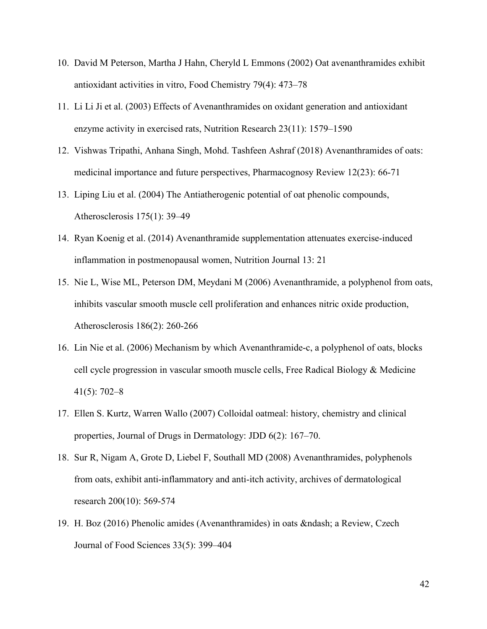- 10. David M Peterson, Martha J Hahn, Cheryld L Emmons (2002) Oat avenanthramides exhibit antioxidant activities in vitro, Food Chemistry 79(4): 473–78
- 11. Li Li Ji et al. (2003) Effects of Avenanthramides on oxidant generation and antioxidant enzyme activity in exercised rats, Nutrition Research 23(11): 1579–1590
- 12. Vishwas Tripathi, Anhana Singh, Mohd. Tashfeen Ashraf (2018) Avenanthramides ofoats: medicinal importance and future perspectives, Pharmacognosy Review 12(23): 66-71
- 13. Liping Liu et al. (2004) The Antiatherogenic potential of oat phenolic compounds, Atherosclerosis 175(1): 39–49
- 14. Ryan Koenig etal. (2014) Avenanthramide supplementation attenuates exercise-induced inflammation in postmenopausal women, Nutrition Journal 13: 21
- 15. Nie L, Wise ML, Peterson DM, Meydani M (2006) Avenanthramide, a polyphenol from oats, inhibits vascular smooth muscle cell proliferation and enhances nitric oxide production, Atherosclerosis 186(2): 260-266
- 16. Lin Nie et al. (2006) Mechanism by which Avenanthramide-c, a polyphenol of oats, blocks cell cycle progression in vascular smooth muscle cells, Free Radical Biology & Medicine 41(5): 702–8
- 17. Ellen S. Kurtz, Warren Wallo (2007) Colloidal oatmeal: history, chemistry and clinical properties, Journal of Drugs in Dermatology: JDD 6(2): 167–70.
- 18. Sur R, Nigam A, Grote D, Liebel F, Southall MD (2008) Avenanthramides, polyphenols from oats, exhibit anti-inflammatory and anti-itch activity, archives of dermatological research 200(10): 569-574
- 19. H. Boz (2016) Phenolic amides (Avenanthramides) in oats & ndash; a Review, Czech Journal of Food Sciences 33(5): 399–404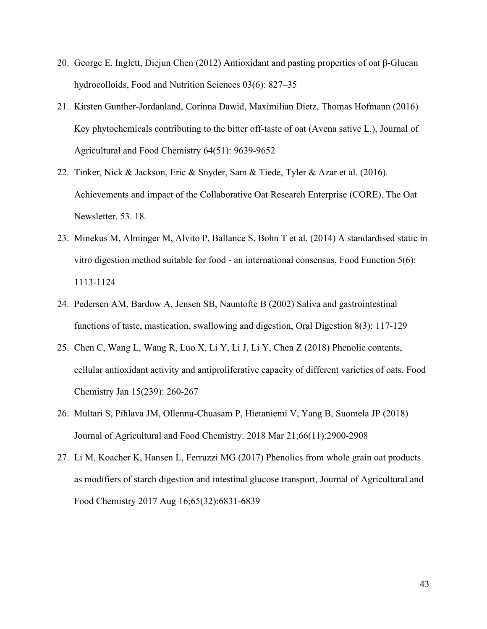- 20. George E. Inglett, Diejun Chen (2012) Antioxidant and pasting properties ofoat β-Glucan hydrocolloids, Food and Nutrition Sciences 03(6): 827–35
- 21. Kirsten Gunther-Jordanland, Corinna Dawid, Maximilian Dietz, Thomas Hofmann (2016) Key phytochemicals contributing to the bitter off-taste of oat (Avena sative L.), Journal of Agricultural and Food Chemistry 64(51): 9639-9652
- 22. Tinker, Nick & Jackson, Eric & Snyder, Sam & Tiede, Tyler & Azar et al. (2016). Achievements and impact of the Collaborative Oat Research Enterprise (CORE). The Oat Newsletter. 53. 18.
- 23. Minekus M, Alminger M, Alvito P, Ballance S, Bohn T et al. (2014) A standardised static in vitro digestion method suitable for food - an international consensus, Food Function 5(6): 1113-1124
- 24. Pedersen AM, Bardow A, Jensen SB, Nauntofte B (2002) Saliva and gastrointestinal functions of taste, mastication, swallowing and digestion, Oral Digestion  $8(3)$ : 117-129
- 25. Chen C, Wang L, Wang R, Luo X, Li Y, Li J, Li Y, Chen Z (2018) Phenolic contents, cellular antioxidant activity and antiproliferative capacity of different varieties of oats. Food Chemistry Jan 15(239): 260-267
- 26. Multari S, Pihlava JM, Ollennu-Chuasam P, Hietaniemi V, Yang B, Suomela JP (2018) Journal of Agricultural and Food Chemistry. 2018 Mar 21;66(11):2900-2908
- 27. Li M, Koacher K, Hansen L, Ferruzzi MG (2017) Phenolics from whole grain oat products as modifiers of starch digestion and intestinal glucose transport, Journal of Agricultural and Food Chemistry 2017 Aug 16;65(32):6831-6839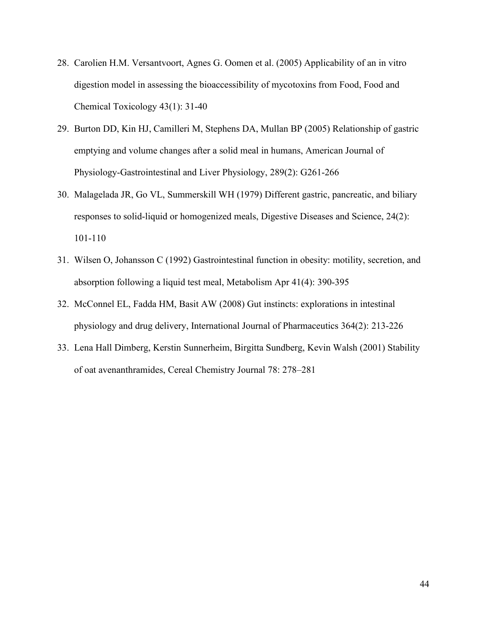- 28. Carolien H.M. Versantvoort, Agnes G. Oomen et al. (2005) Applicability of an in vitro digestion model in assessing the bioaccessibility of mycotoxins from Food, Food and Chemical Toxicology 43(1): 31-40
- 29. Burton DD, Kin HJ, Camilleri M, Stephens DA, Mullan BP (2005) Relationship of gastric emptying and volume changes after a solid meal in humans, American Journal of Physiology-Gastrointestinal and Liver Physiology, 289(2): G261-266
- 30. Malagelada JR, Go VL, Summerskill WH (1979) Different gastric, pancreatic, and biliary responses to solid-liquid or homogenized meals, Digestive Diseases and Science, 24(2): 101-110
- 31. Wilsen O, Johansson C (1992) Gastrointestinal function in obesity: motility, secretion, and absorption following a liquid test meal, Metabolism Apr 41(4): 390-395
- 32. McConnel EL, Fadda HM, Basit AW (2008) Gut instincts: explorations in intestinal physiology and drug delivery, International Journal of Pharmaceutics 364(2): 213-226
- 33. Lena Hall Dimberg, Kerstin Sunnerheim, Birgitta Sundberg, Kevin Walsh (2001) Stability of oat avenanthramides, Cereal Chemistry Journal 78: 278–281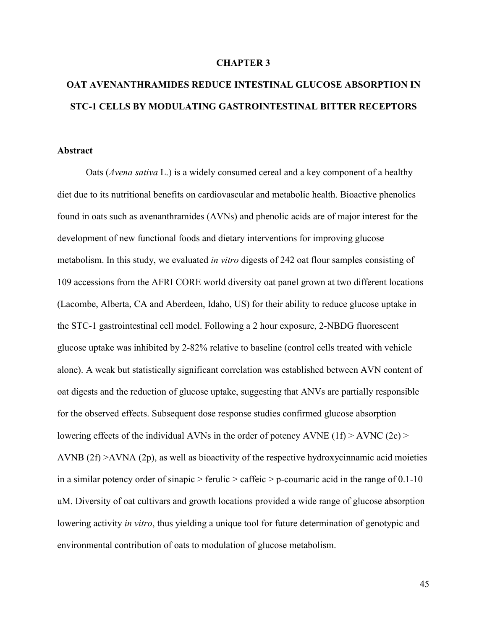#### **CHAPTER 3**

# **OAT AVENANTHRAMIDES REDUCE INTESTINAL GLUCOSE ABSORPTION IN STC-1 CELLS BY MODULATING GASTROINTESTINAL BITTER RECEPTORS**

#### **Abstract**

Oats (*Avena sativa* L.) is a widely consumed cereal and a key component of a healthy diet due to its nutritional benefits on cardiovascular and metabolic health. Bioactive phenolics found in oats such as avenanthramides (AVNs) and phenolic acids are of major interest for the development of new functional foods and dietary interventions for improving glucose metabolism. In this study, we evaluated *in vitro* digests of 242 oat flour samples consisting of 109 accessions from the AFRI CORE world diversity oat panel grown at two different locations (Lacombe, Alberta, CA and Aberdeen, Idaho, US) for their ability to reduce glucose uptake in the STC-1 gastrointestinal cell model. Following a 2 hour exposure, 2-NBDG fluorescent glucose uptake was inhibited by 2-82% relative to baseline (control cells treated with vehicle alone). A weak but statistically significant correlation was established between AVN content of oat digests and the reduction of glucose uptake, suggesting that ANVs are partially responsible for the observed effects. Subsequent dose response studies confirmed glucose absorption lowering effects of the individual AVNs in the order of potency AVNE (1f) > AVNC (2c) > AVNB  $(2f)$  >AVNA  $(2p)$ , as well as bioactivity of the respective hydroxycinnamic acid moieties in a similar potency order of sinapic  $>$  ferulic  $>$  caffeic  $>$  p-coumaric acid in the range of 0.1-10 uM. Diversity of oat cultivars and growth locations provided a wide range of glucose absorption lowering activity *in vitro*, thus yielding a unique tool for future determination of genotypic and environmental contribution of oats to modulation of glucose metabolism.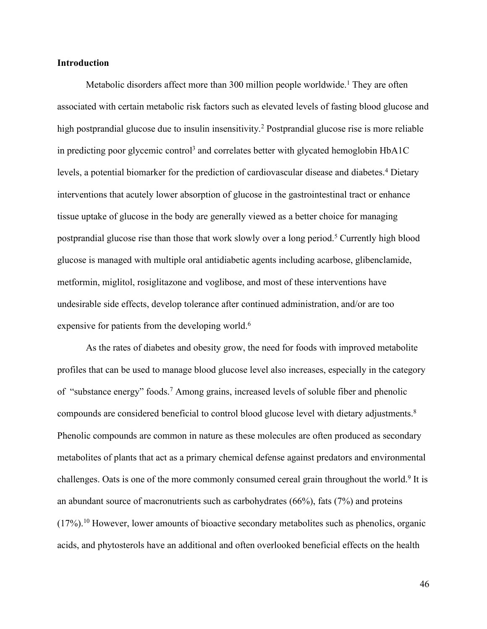#### **Introduction**

Metabolic disorders affect more than 300 million people worldwide.<sup>1</sup> They are often associated with certain metabolic risk factors such as elevated levels offasting blood glucose and high postprandial glucose due to insulin insensitivity.<sup>2</sup> Postprandial glucose rise is more reliable in predicting poor glycemic control<sup>3</sup> and correlates better with glycated hemoglobin  $HbA1C$ levels, a potential biomarker for the prediction of cardiovascular disease and diabetes.<sup>4</sup> Dietary interventions that acutely lower absorption of glucose in the gastrointestinal tract or enhance tissue uptake of glucose in the body are generally viewed as a better choice for managing postprandial glucose rise than those that work slowly over a long period.<sup>5</sup> Currently high blood glucose is managed with multiple oral antidiabetic agents including acarbose, glibenclamide, metformin, miglitol, rosiglitazone and voglibose, and most of these interventions have undesirable side effects, develop tolerance after continued administration, and/or are too expensive for patients from the developing world.<sup>6</sup>

As the rates of diabetes and obesity grow, the need for foods with improved metabolite profiles that can be used to manage blood glucose level also increases, especially in the category of "substance energy" foods.<sup>7</sup> Among grains, increased levels ofsoluble fiberand phenolic compounds are considered beneficial to control blood glucose level with dietary adjustments.<sup>8</sup> Phenolic compounds are common in nature as these molecules are often produced as secondary metabolites of plants that act as a primary chemical defense against predators and environmental challenges. Oats is one of the more commonly consumed cereal grain throughout the world.<sup>9</sup> It is an abundant source of macronutrients such as carbohydrates (66%), fats (7%) and proteins (17%).<sup>10</sup> However, lower amounts of bioactive secondary metabolites such as phenolics, organic acids, and phytosterols have an additional and often overlooked beneficial effects on the health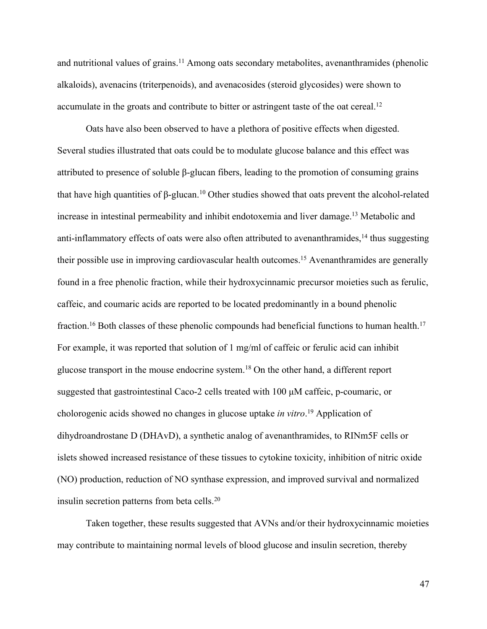and nutritional values of grains.<sup>11</sup> Among oats secondary metabolites, avenanthramides (phenolic alkaloids), avenacins (triterpenoids), and avenacosides (steroid glycosides) were shown to accumulate in the groats and contribute to bitter or astringent taste of the oat cereal.<sup>12</sup>

Oats have also been observed to have a plethora of positive effects when digested. Several studies illustrated that oats could be to modulate glucose balance and this effectwas attributed to presence of soluble β-glucan fibers, leading to the promotion of consuming grains that have high quantities of β-glucan.<sup>10</sup> Other studies showed that oats prevent the alcohol-related increase in intestinal permeability and inhibit endotoxemia and liver damage.<sup>13</sup> Metabolic and anti-inflammatory effects of oats were also often attributed to avenanthramides,<sup>14</sup> thus suggesting their possible use in improving cardiovascular health outcomes.<sup>15</sup> Avenanthramides are generally found in a free phenolic fraction, while their hydroxycinnamic precursor moieties such as ferulic, caffeic, and coumaric acids are reported to be located predominantly in a bound phenolic fraction.<sup>16</sup> Both classes of these phenolic compounds had beneficial functions to human health.<sup>17</sup> For example, it was reported that solution of 1 mg/ml of caffeic or ferulic acid can inhibit glucose transport in the mouse endocrine system.<sup>18</sup> On the other hand, a different report suggested that gastrointestinal Caco-2 cells treated with 100 μM caffeic, p-coumaric, or cholorogenic acids showed no changes in glucose uptake *in vitro*.<sup>19</sup> Application of dihydroandrostane D (DHAvD), a synthetic analog of avenanthramides, to RINm5F cells or islets showed increased resistance of these tissues to cytokine toxicity, inhibition of nitric oxide (NO) production, reduction of NO synthase expression, and improved survival and normalized insulin secretion patterns from beta cells.<sup>20</sup>

Taken together, these results suggested that AVNs and/or their hydroxycinnamic moieties may contribute to maintaining normal levels of blood glucose and insulin secretion, thereby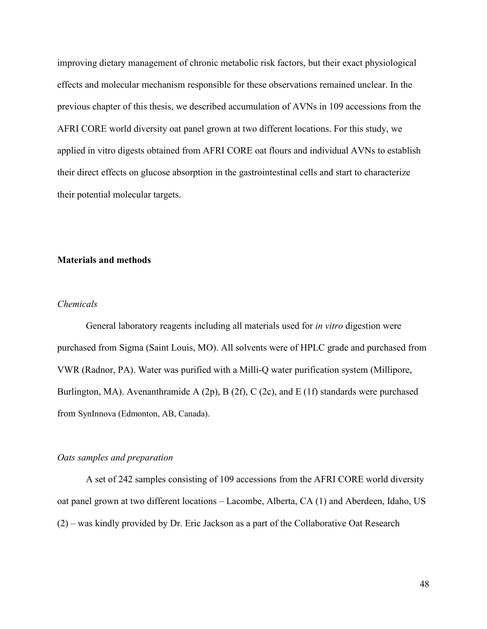improving dietary management of chronic metabolic risk factors, but their exact physiological effects and molecular mechanism responsible for these observations remained unclear. In the previous chapter of this thesis, we described accumulation of AVNs in 109 accessions from the AFRI CORE world diversity oat panel grown at two different locations. For this study, we applied in vitro digests obtained from AFRI CORE oat flours and individual AVNs to establish their direct effects on glucose absorption in the gastrointestinal cells and start to characterize their potential molecular targets.

### **Materials and methods**

#### *Chemicals*

General laboratory reagents including all materials used for *in vitro* digestion were purchased from Sigma (Saint Louis, MO). All solvents were of HPLC grade and purchased from VWR (Radnor, PA). Water was purified with a Milli-Q water purification system (Millipore, Burlington, MA). Avenanthramide A (2p), B (2f), C (2c), and E (1f) standards were purchased from SynInnova (Edmonton, AB, Canada).

#### *Oats samples and preparation*

A set of 242 samples consisting of 109 accessions from the AFRI CORE world diversity oat panel grown at two different locations – Lacombe, Alberta, CA (1) and Aberdeen, Idaho, US (2) – was kindly provided by Dr. Eric Jackson as a part of the Collaborative Oat Research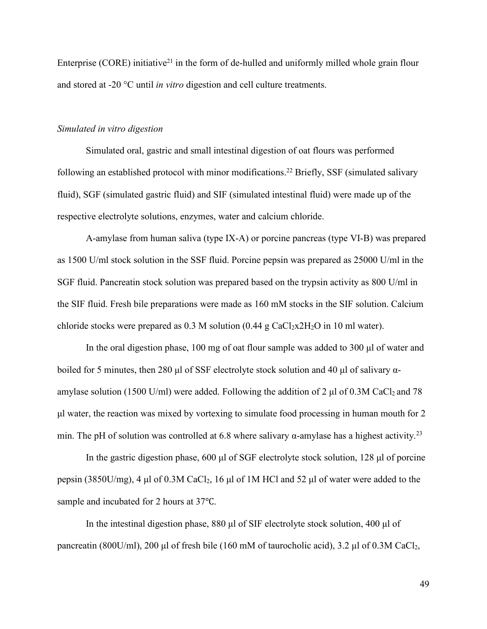Enterprise (CORE) initiative<sup>21</sup> in the form of de-hulled and uniformly milled whole grain flour and stored at -20 °C until *in vitro* digestion and cell culture treatments.

#### *Simulated in vitro digestion*

Simulated oral, gastric and small intestinal digestion of oat flours was performed following an established protocol with minor modifications.<sup>22</sup> Briefly, SSF (simulated salivary fluid), SGF (simulated gastric fluid) and SIF (simulated intestinal fluid) were made up of the respective electrolyte solutions, enzymes, water and calcium chloride.

A-amylase from human saliva (type IX-A) or porcine pancreas (type VI-B) was prepared as 1500 U/ml stock solution in the SSF fluid. Porcine pepsin was prepared as 25000 U/ml in the SGF fluid. Pancreatin stock solution was prepared based on the trypsin activity as 800 U/ml in the SIF fluid. Fresh bile preparations were made as160 mM stocks in the SIF solution. Calcium chloride stocks were prepared as  $0.3$  M solution  $(0.44 \text{ g } \text{CaCl}_2 \text{X} 2H_2 \text{O}$  in 10 ml water).

In the oral digestion phase, 100 mg of oat flour sample was added to 300 μl of water and boiled for 5 minutes, then 280 μl of SSF electrolyte stock solution and 40 μl of salivary  $\alpha$ amylase solution (1500 U/ml) were added. Following the addition of 2  $\mu$ l of 0.3M CaCl<sub>2</sub> and 78 μl water, the reaction was mixed by vortexing to simulate food processing in human mouth for 2 min. The pH of solution was controlled at 6.8 where salivary  $\alpha$ -amylase has a highest activity.<sup>23</sup>

In the gastric digestion phase, 600 μl of SGF electrolyte stock solution, 128 μl of porcine pepsin (3850U/mg), 4 μl of 0.3M CaCl<sub>2</sub>, 16 μl of 1M HCl and 52 μl of water were added to the sample and incubated for 2 hours at 37℃.

In the intestinal digestion phase, 880 μl of SIF electrolyte stock solution, 400 μl of pancreatin (800U/ml), 200 μl of fresh bile (160 mM of taurocholic acid), 3.2 μl of 0.3M CaCl<sub>2</sub>,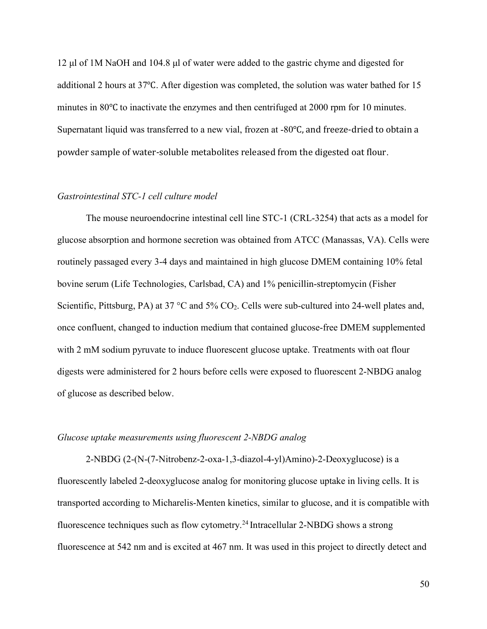12 μl of 1M NaOH and 104.8μl of water were added to the gastric chyme and digested for additional 2 hours at 37℃. After digestion was completed, the solution was water bathed for 15 minutes in 80℃ to inactivate the enzymes and then centrifuged at 2000 rpm for 10 minutes. Supernatant liquid was transferred to a new vial, frozen at -80℃, and freeze-dried to obtain a powder sample of water-soluble metabolites released from the digested oat flour.

#### *Gastrointestinal STC-1 cell culture model*

The mouse neuroendocrine intestinal cell line STC-1 (CRL-3254) that acts as a model for glucose absorption and hormone secretion was obtained from ATCC (Manassas, VA). Cells were routinely passaged every 3-4 days and maintained in high glucose DMEM containing 10% fetal bovine serum (Life Technologies, Carlsbad, CA) and 1% penicillin-streptomycin (Fisher Scientific, Pittsburg, PA) at 37 °C and 5% CO<sub>2</sub>. Cells were sub-cultured into 24-well plates and, once confluent, changed to induction medium that contained glucose-free DMEM supplemented with 2 mM sodium pyruvate to induce fluorescent glucose uptake. Treatments with oat flour digests were administered for 2 hours before cells were exposed to fluorescent 2-NBDG analog of glucose as described below.

#### *Glucose uptake measurements using fluorescent 2-NBDG analog*

2-NBDG (2-(N-(7-Nitrobenz-2-oxa-1,3-diazol-4-yl)Amino)-2-Deoxyglucose) is a fluorescently labeled 2-deoxyglucose analog for monitoring glucose uptake in living cells. It is transported according to Micharelis-Menten kinetics, similar to glucose, and it is compatible with fluorescence techniques such as flow cytometry.<sup>24</sup> Intracellular 2-NBDG shows a strong fluorescence at 542 nm and is excited at 467 nm. It was used in this project to directly detect and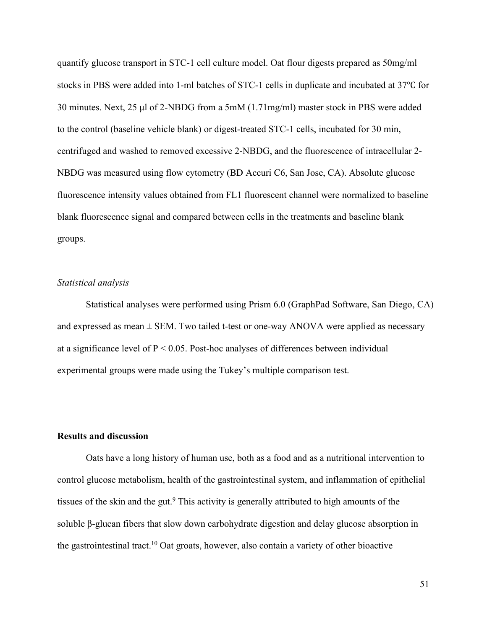quantify glucose transport in STC-1 cell culture model. Oat flour digests prepared as 50mg/ml stocks in PBS were added into 1-ml batches of STC-1 cells in duplicate and incubated at 37°C for 30 minutes. Next, 25 µl of 2-NBDG from a 5mM  $(1.71mg/ml)$  master stock in PBS were added to the control (baseline vehicle blank) or digest-treated STC-1 cells, incubated for 30 min,<br>centrifuged and washed to removed excessive 2-NBDG, and the fluorescence of intracellular 2-NBDG was measured using flow cytometry (BD Accuri C6, San Jose, CA). Absolute glucose fluorescence intensity values obtained from FL1 fluorescent channel were normalized to baseline blank fluorescence signal and compared between cells in the treatments and baseline blank groups.

#### *Statistical analysis*

Statistical analyses were performed using Prism 6.0 (GraphPad Software, San Diego, CA) and expressed as mean  $\pm$  SEM. Two tailed t-test or one-way ANOVA were applied as necessary at a significance level of  $P < 0.05$ . Post-hoc analyses of differences between individual experimental groups were made using the Tukey's multiple comparison test.

### **Results and discussion**

Oats have a long history of human use, both as a food and as a nutritional intervention to control glucose metabolism, health of the gastrointestinal system, and inflammation of epithelial tissues of the skin and the gut.<sup>9</sup> This activity is generally attributed to high amounts of the soluble β-glucan fibers that slow down carbohydrate digestion and delay glucose absorption in the gastrointestinal tract.<sup>10</sup> Oat groats, however, also contain a variety of other bioactive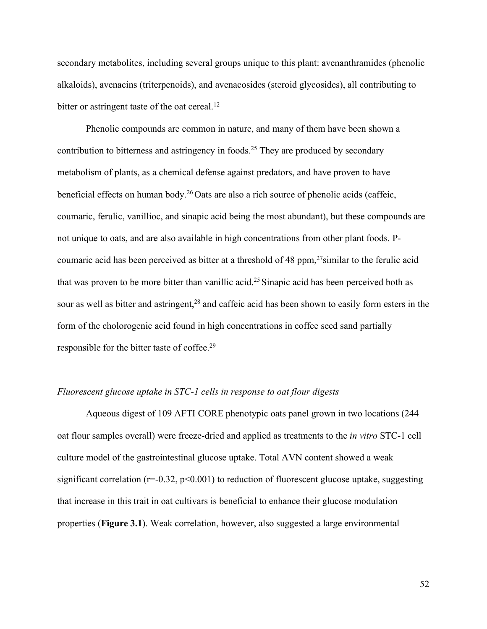secondary metabolites, including several groups unique to this plant: avenanthramides (phenolic alkaloids), avenacins (triterpenoids), and avenacosides (steroid glycosides), all contributing to bitter or astringent taste of the oat cereal.<sup>12</sup>

Phenolic compounds are common in nature, and many of them have been shown a contribution to bitterness and astringency in foods.<sup>25</sup> They are produced by secondary metabolism of plants, as a chemical defense against predators, and have proven to have beneficial effects on human body.<sup>26</sup> Oats are also a rich source of phenolic acids (caffeic, coumaric, ferulic, vanillioc, and sinapic acid being the most abundant), but these compounds are not unique to oats, and are also available in high concentrations from other plant foods. P-coumaric acid has been perceived as bitter at a threshold of 48 ppm,<sup>27</sup>similar to the ferulic acid that was proven to be more bitter than vanillic acid.<sup>25</sup> Sinapic acid has been perceived both as sour as well as bitter and astringent,<sup>28</sup> and caffeic acid has been shown to easily form esters in the form of the cholorogenic acid found in high concentrations in coffee seed sand partially responsible for the bitter taste of coffee.<sup>29</sup>

### *Fluorescent glucose uptake in STC-1 cellsin response to oat flour digests*

Aqueous digest of 109 AFTI CORE phenotypic oats panel grown in two locations (244 oat flour samples overall) were freeze-dried and applied as treatments to the *in vitro* STC-1 cell culture model of the gastrointestinal glucose uptake. Total AVN content showed a weak significant correlation ( $r=0.32$ ,  $p<0.001$ ) to reduction of fluorescent glucose uptake, suggesting that increase in this trait in oat cultivars is beneficial to enhance their glucose modulation properties (**Figure 3.1**). Weak correlation, however, also suggested a large environmental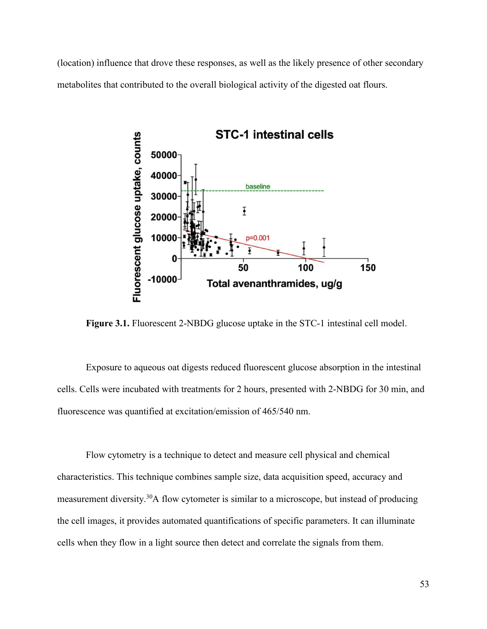(location) influence that drove these responses, as well as the likely presence of other secondary metabolites that contributed to the overall biological activity of the digested oat flours.



**Figure 3.1.** Fluorescent 2-NBDG glucose uptake in the STC-1 intestinal cell model.

Exposure to aqueous oat digests reduced fluorescent glucose absorption in the intestinal cells. Cells were incubated with treatments for 2 hours, presented with 2-NBDG for 30 min, and fluorescence was quantified at excitation/emission of 465/540 nm.

Flow cytometry is a technique to detect and measure cell physical and chemical characteristics. This technique combines sample size, data acquisition speed, accuracy and measurement diversity.<sup>30</sup>A flow cytometer is similar to a microscope, but instead of producing the cell images, it provides automated quantifications of specific parameters. It can illuminate cells when they flow in a light source then detect and correlate the signals from them.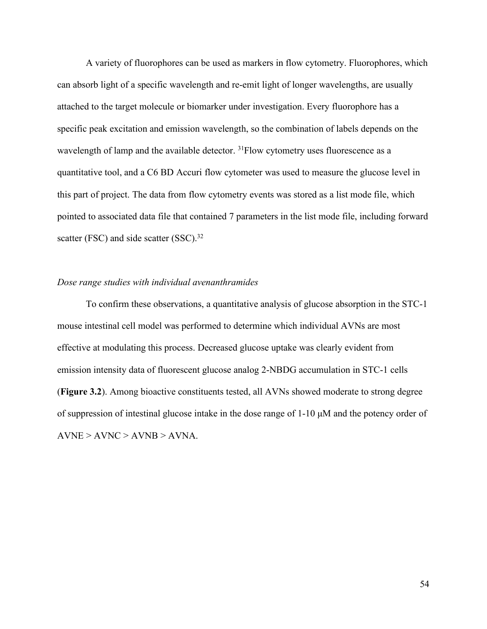A variety of fluorophores can be used as markers in flow cytometry. Fluorophores, which can absorb light of a specific wavelength and re-emit light of longer wavelengths, are usually attached to the target molecule or biomarker under investigation. Every fluorophore has a specific peak excitation and emission wavelength, so the combination of labels depends on the wavelength of lamp and the available detector.  $31$ Flow cytometry uses fluorescence as a quantitative tool, and a C6 BD Accuri flow cytometer was used to measure the glucose level in this part of project. The data from flow cytometry events was stored as a list mode file, which pointed to associated data file that contained 7 parameters in the list mode file, including forward scatter (FSC) and side scatter (SSC).<sup>32</sup>

### *Dose range studies with individual avenanthramides*

To confirm these observations, a quantitative analysis of glucose absorption in the STC-1 mouse intestinal cell model was performed to determine which individual AVNs are most effective at modulating this process. Decreased glucose uptake was clearly evident from emission intensity data of fluorescent glucose analog 2-NBDG accumulation in STC-1 cells (**Figure 3.2**). Among bioactive constituents tested, all AVNs showed moderate to strong degree of suppression of intestinal glucose intake in the dose range of 1-10 μM and the potency order of  $AVNE > AVNC > AVNB > AVNA$ .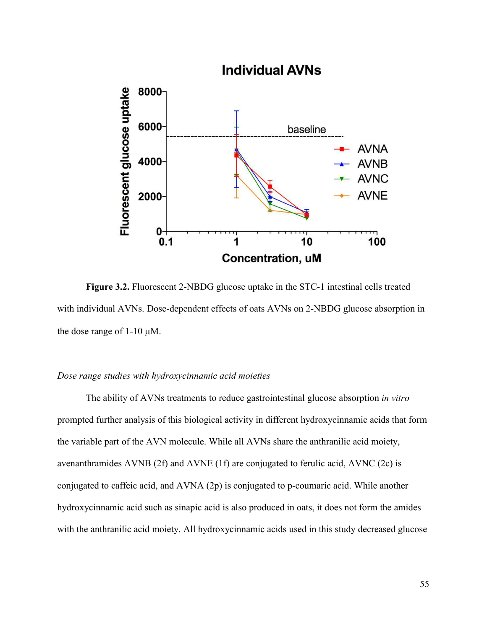

**Figure 3.2.** Fluorescent 2-NBDG glucose uptake in the STC-1 intestinal cells treated with individual AVNs. Dose-dependent effects of oats AVNs on 2-NBDG glucose absorption in the dose range of  $1-10 \mu M$ .

#### *Dose range studies with hydroxycinnamic acid moieties*

The ability of AVNs treatments to reduce gastrointestinal glucose absorption *in vitro* prompted further analysis of this biological activity in different hydroxycinnamic acids that form the variable part of the AVN molecule. While all AVNs share the anthranilic acid moiety, avenanthramides AVNB (2f) and AVNE (1f) areconjugated to ferulic acid, AVNC (2c) is conjugated to caffeic acid, and AVNA (2p) is conjugated to p-coumaric acid. While another hydroxycinnamic acid such as sinapic acid is also produced in oats, it does not form the amides with the anthranilic acid moiety. All hydroxycinnamic acids used in this study decreased glucose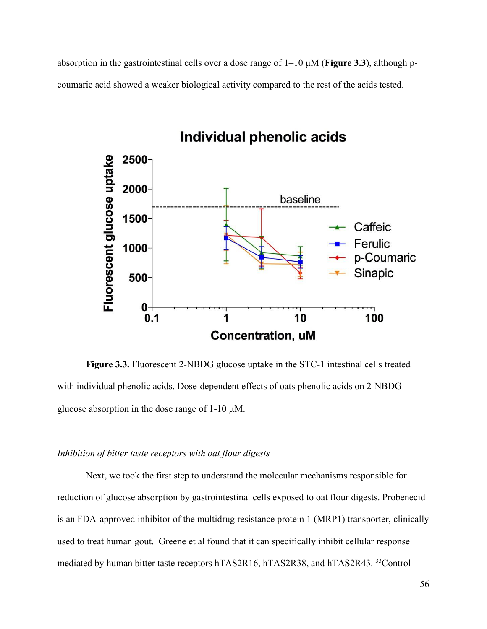absorption in the gastrointestinal cells over a dose range of 1–10 μM (**Figure 3.3**), although p coumaric acid showed a weaker biological activity compared to the restof the acids tested.



**Figure 3.3.** Fluorescent 2-NBDG glucose uptake in the STC-1 intestinal cells treated with individual phenolic acids. Dose-dependent effects of oats phenolic acids on 2-NBDG

glucose absorption in the dose range of  $1-10 \mu M$ .

#### *Inhibition of bitter taste receptors with oat flour digests*

Next, we took the first step to understand the molecular mechanisms responsible for reduction of glucose absorption by gastrointestinal cells exposed to oat flour digests. Probenecid is an FDA-approved inhibitor of the multidrug resistance protein 1 (MRP1) transporter, clinically used to treat human gout. Greene et al found that it can specifically inhibit cellular response mediated by human bitter taste receptors hTAS2R16, hTAS2R38, and hTAS2R43. <sup>33</sup>Control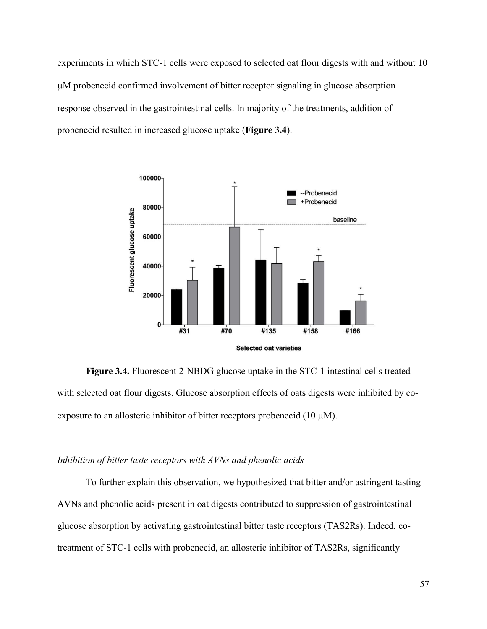experiments in which STC-1 cells were exposed to selected oat flour digests with and without 10 M probenecid confirmed involvement of bitter receptor signaling in glucose absorption response observed in the gastrointestinal cells. In majority of the treatments, addition of probenecid resulted in increased glucose uptake (**Figure 3.4**).



**Figure 3.4.** Fluorescent 2-NBDG glucose uptake in the STC-1 intestinal cells treated with selected oat flour digests. Glucose absorption effects of oats digests were inhibited by coexposure to an allosteric inhibitor of bitter receptors probenecid  $(10 \mu M)$ .

### *Inhibition of bitter taste receptors with AVNs and phenolic acids*

To further explain this observation, we hypothesized that bitter and/or astringent tasting AVNs and phenolic acids present in oat digests contributed to suppression of gastrointestinal glucose absorption by activating gastrointestinal bitter taste receptors (TAS2Rs). Indeed, cotreatment of STC-1 cellswith probenecid, an allosteric inhibitor of TAS2Rs, significantly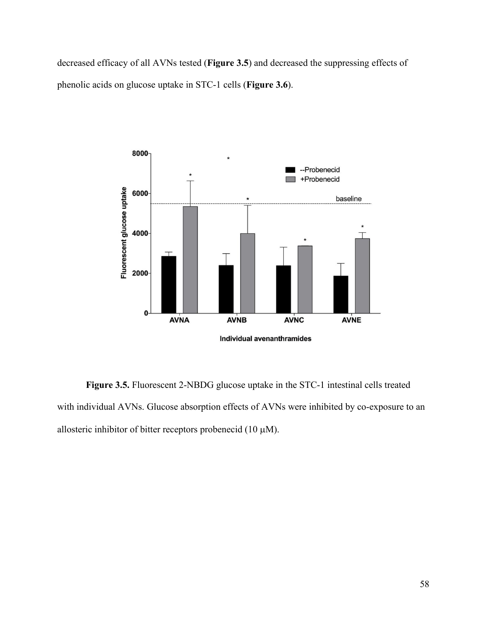decreased efficacy of all AVNs tested (**Figure 3.5**) and decreased the suppressing effects of phenolic acids on glucose uptake in STC-1 cells(**Figure 3.6**).



**Figure 3.5.** Fluorescent 2-NBDG glucose uptake in the STC-1 intestinal cells treated with individual AVNs. Glucose absorption effects of AVNs were inhibited by co-exposure to an allosteric inhibitor of bitter receptors probenecid (10  $\mu$ M).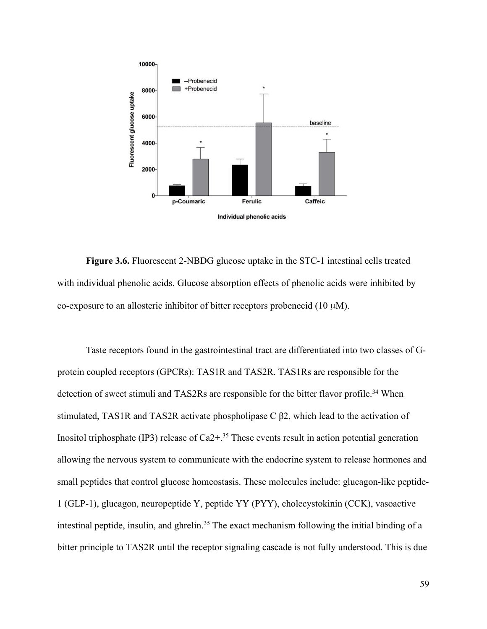

**Figure 3.6.** Fluorescent 2-NBDG glucose uptake in the STC-1 intestinal cells treated with individual phenolic acids. Glucose absorption effects of phenolic acids were inhibited by co-exposure to an allosteric inhibitor of bitter receptors probenecid  $(10 \mu M)$ .

Taste receptors found in the gastrointestinal tract are differentiated into two classes of G protein coupled receptors (GPCRs): TAS1R and TAS2R. TAS1Rs are responsible for the detection of sweet stimuli and TAS2Rs are responsible for the bitter flavor profile.<sup>34</sup> When stimulated, TAS1R and TAS2R activate phospholipase C β2, which lead to the activation of Inositol triphosphate (IP3) release of Ca2+.<sup>35</sup> These events result in action potential generation allowing the nervous system to communicate with the endocrine system to release hormones and small peptides that control glucose homeostasis. These molecules include: glucagon-like peptide- 1 (GLP-1), glucagon, neuropeptide Y, peptide YY (PYY), cholecystokinin (CCK), vasoactive intestinal peptide, insulin, and ghrelin.<sup>35</sup> The exact mechanism following the initial binding of a bitter principle to TAS2R until the receptor signaling cascade is not fully understood. This is due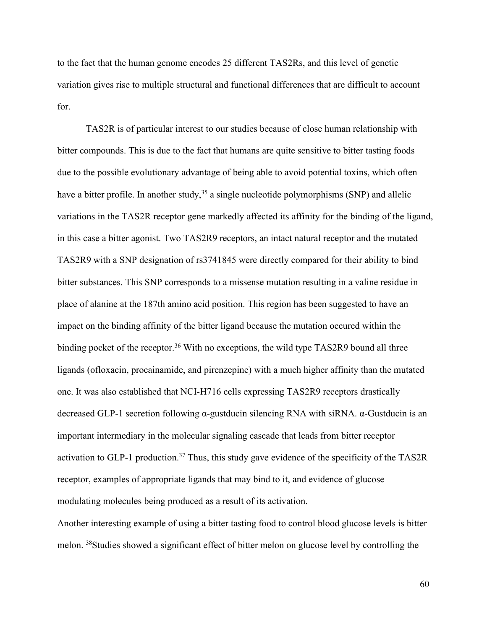to the fact that the human genome encodes 25 different TAS2Rs, and this level of genetic variation gives rise to multiple structural and functional differences that are difficult to account for.

TAS2R is of particular interest to our studies because of close human relationship with bitter compounds. This is due to the fact that humans are quite sensitive to bitter tasting foods due to the possible evolutionary advantage of being able to avoid potential toxins, which often have a bitter profile. In another study,  $35$  a single nucleotide polymorphisms (SNP) and allelic variations in the TAS2R receptor gene markedly affected its affinity for the binding of the ligand, in this case a bitter agonist. Two TAS2R9 receptors, an intact natural receptor and the mutated TAS2R9 with a SNP designation of rs3741845 were directly compared for their ability to bind bitter substances. This SNP corresponds to a missense mutation resulting in a valine residue in place of alanine at the 187th amino acid position. This region has been suggested to have an impact on the binding affinity of the bitter ligand because the mutation occured within the binding pocket of the receptor.<sup>36</sup> With no exceptions, the wild type TAS2R9 bound all three ligands (ofloxacin, procainamide, and pirenzepine) with a much higher affinity than the mutated one. It was also established that NCI-H716 cellsexpressing TAS2R9 receptors drastically decreased GLP-1 secretion following α-gustducin silencing RNA with siRNA. α-Gustducin is an important intermediary in the molecular signaling cascade that leads from bitter receptor activation to GLP-1 production.<sup>37</sup> Thus, this study gave evidence of the specificity of the TAS2R receptor, examples of appropriate ligands that may bind to it, and evidence of glucose modulating molecules being produced as a result of its activation.

Another interesting example of using a bitter tasting food to control blood glucose levels is bitter melon. <sup>38</sup>Studies showed a significant effect of bitter melon on glucose level by controlling the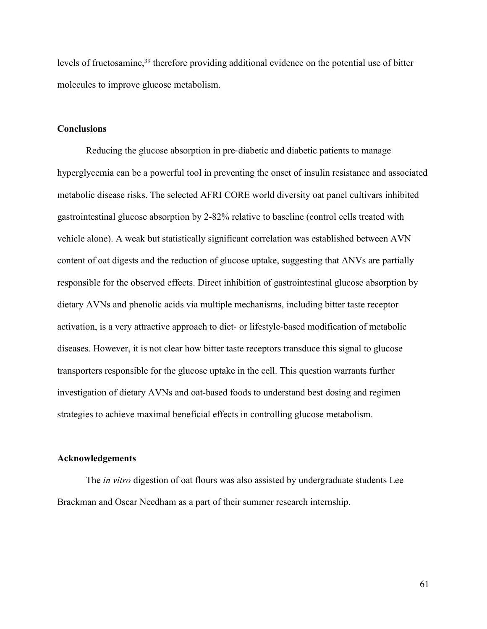levels of fructosamine,<sup>39</sup> therefore providing additional evidence on the potential use of bitter molecules to improve glucose metabolism.

#### **Conclusions**

Reducing the glucose absorption in pre-diabetic and diabetic patients to manage hyperglycemia can be a powerful tool in preventing the onset of insulin resistance and associated metabolic disease risks. The selected AFRI CORE world diversity oat panel cultivars inhibited gastrointestinal glucose absorption by 2-82% relative to baseline (control cells treated with vehicle alone). A weak but statistically significant correlation was established between AVN content of oat digests and the reduction of glucose uptake, suggesting that ANVs are partially responsible for the observed effects. Direct inhibition of gastrointestinal glucose absorption by dietary AVNs and phenolic acids via multiple mechanisms, including bitter taste receptor activation, is a very attractive approach to diet- or lifestyle-based modification of metabolic diseases. However, it is not clear how bitter taste receptors transduce this signal to glucose transporters responsible for the glucose uptake in the cell. This question warrants further investigation of dietary AVNs and oat-based foods to understand best dosing and regimen strategies to achieve maximal beneficial effects in controlling glucose metabolism.

## **Acknowledgements**

The *in vitro* digestion of oat flours was also assisted by undergraduate students Lee Brackman and Oscar Needham as a part of their summer research internship.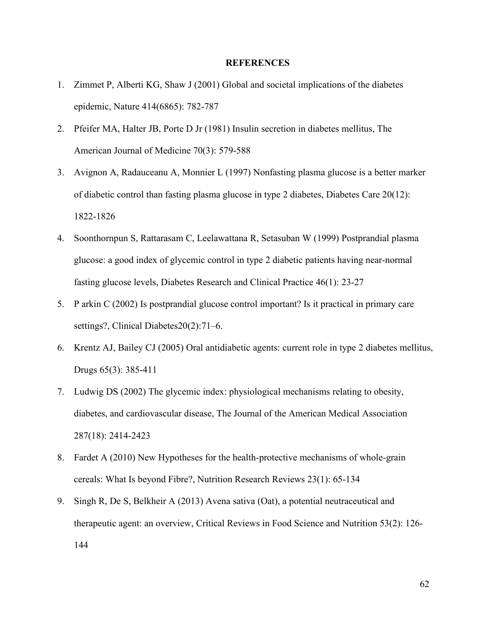#### **REFERENCES**

- 1. Zimmet P, Alberti KG, Shaw J (2001) Global and societal implications of the diabetes epidemic, Nature 414(6865): 782-787
- 2. Pfeifer MA, Halter JB, Porte D Jr (1981) Insulin secretion in diabetes mellitus, The American Journal of Medicine 70(3): 579-588
- 3. Avignon A, Radauceanu A, Monnier L (1997) Nonfasting plasma glucose is a better marker of diabetic control than fasting plasma glucose in type 2 diabetes, Diabetes Care 20(12): 1822-1826
- 4. Soonthornpun S, Rattarasam C, Leelawattana R, Setasuban W (1999) Postprandial plasma glucose: a good index of glycemic control in type 2 diabetic patients having near-normal fasting glucose levels, Diabetes Research and Clinical Practice 46(1): 23-27
- 5. P arkin C (2002) Is postprandial glucose control important? Is it practical in primary care settings?, Clinical Diabetes20(2):71–6.
- 6. Krentz AJ, Bailey CJ (2005) Oral antidiabetic agents: current role in type 2 diabetes mellitus, Drugs 65(3): 385-411
- 7. Ludwig DS (2002) The glycemic index: physiological mechanisms relating to obesity, diabetes, and cardiovascular disease, The Journalof the American Medical Association 287(18): 2414-2423
- 8. Fardet A (2010) New Hypotheses for the health-protective mechanisms of whole-grain cereals: What Is beyond Fibre?, Nutrition Research Reviews 23(1): 65-134
- 9. Singh R, De S, Belkheir A (2013) Avena sativa (Oat), a potential neutraceutical and therapeutic agent: an overview, Critical Reviews in Food Science and Nutrition 53(2): 126- 144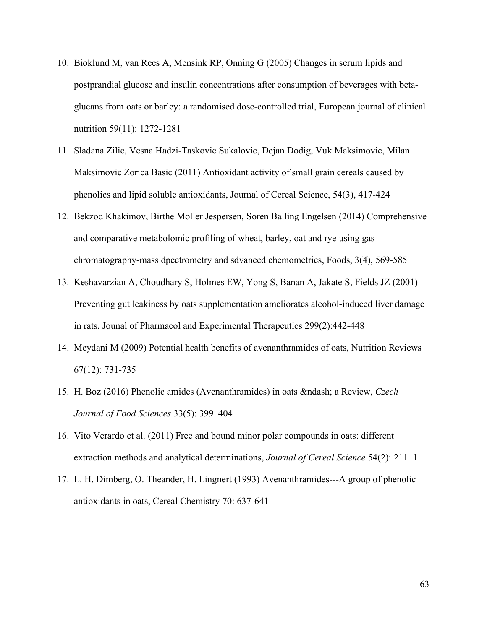- 10. Bioklund M, van Rees A, Mensink RP, Onning G (2005) Changes in serum lipids and postprandial glucose and insulin concentrations after consumption of beverages with beta glucans from oats orbarley: a randomised dose-controlled trial, European journal of clinical nutrition 59(11): 1272-1281
- 11. Sladana Zilic, Vesna Hadzi-Taskovic Sukalovic, Dejan Dodig, Vuk Maksimovic, Milan Maksimovic Zorica Basic (2011) Antioxidant activity of small grain cereals caused by phenolics and lipid soluble antioxidants, Journal of Cereal Science, 54(3), 417-424
- 12. Bekzod Khakimov, Birthe Moller Jespersen, Soren Balling Engelsen (2014) Comprehensive and comparative metabolomic profiling of wheat, barley, oat and rye using gas chromatography-mass dpectrometry and sdvanced chemometrics, Foods, 3(4), 569-585
- 13. Keshavarzian A, Choudhary S, Holmes EW, Yong S, Banan A, Jakate S, Fields JZ (2001) Preventing gut leakiness by oats supplementation ameliorates alcohol-induced liver damage in rats, Jounal of Pharmacol and Experimental Therapeutics 299(2):442-448
- 14. Meydani M (2009) Potential health benefits of avenanthramides of oats, Nutrition Reviews 67(12): 731-735
- 15. H. Boz (2016) Phenolic amides (Avenanthramides) in oats & ndash; a Review, *Czech Journal of Food Sciences* 33(5): 399–404
- 16. Vito Verardo et al. (2011) Free and bound minor polar compounds in oats: different extraction methods and analytical determinations, *Journal of Cereal Science* 54(2): 211–1
- 17. L. H. Dimberg, O. Theander, H. Lingnert (1993) Avenanthramides---A group of phenolic antioxidants in oats, Cereal Chemistry 70: 637-641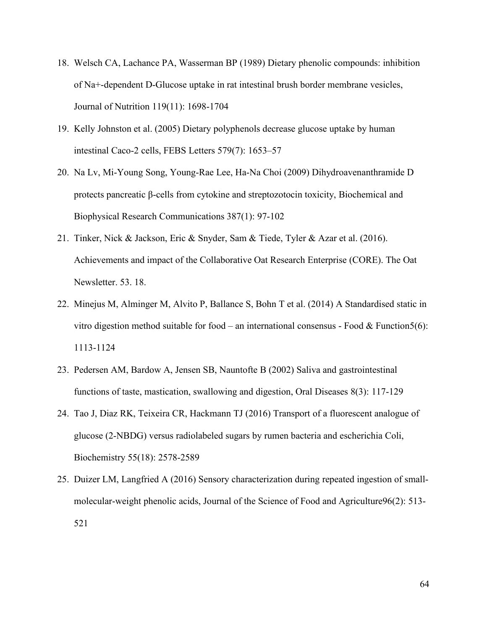- 18. Welsch CA, Lachance PA, Wasserman BP (1989) Dietary phenolic compounds: inhibition of Na+-dependent D-Glucose uptake in rat intestinal brush border membrane vesicles,Journal of Nutrition 119(11): 1698-1704
- 19. Kelly Johnston et al. (2005) Dietary polyphenols decrease glucose uptake by human intestinal Caco-2 cells, FEBS Letters 579(7): 1653–57
- 20. Na Lv, Mi-Young Song, Young-Rae Lee, Ha-Na Choi (2009) Dihydroavenanthramide D protects pancreatic β-cells from cytokine and streptozotocin toxicity, Biochemical and Biophysical Research Communications 387(1): 97-102
- 21. Tinker, Nick & Jackson, Eric & Snyder, Sam & Tiede, Tyler & Azar et al. (2016). Achievements and impact of the Collaborative Oat Research Enterprise (CORE). The Oat Newsletter. 53. 18.
- 22. Minejus M, Alminger M, Alvito P, Ballance S, Bohn T et al. (2014) A Standardised static in vitro digestion method suitable for food – an international consensus - Food  $& Function5(6)$ : 1113-1124
- 23. Pedersen AM, Bardow A, Jensen SB, Nauntofte B (2002) Saliva and gastrointestinal functions of taste, mastication, swallowing and digestion, Oral Diseases 8(3): 117-129
- 24. Tao J, Diaz RK, Teixeira CR, Hackmann TJ (2016) Transport of a fluorescent analogue of glucose (2-NBDG) versus radiolabeled sugars by rumen bacteria and escherichia Coli, Biochemistry 55(18): 2578-2589
- 25. Duizer LM, Langfried A (2016) Sensory characterization during repeated ingestion of small molecular-weight phenolic acids, Journal of the Science of Food and Agriculture96(2): 513- 521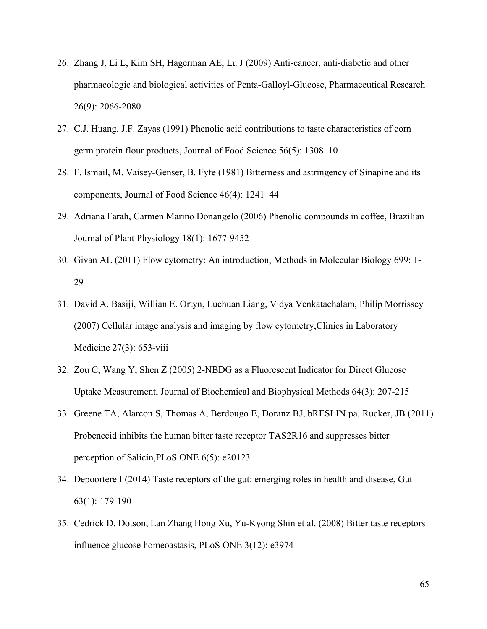- 26. Zhang J, Li L, Kim SH, Hagerman AE, Lu J (2009) Anti-cancer, anti-diabetic and other pharmacologic and biological activities of Penta-Galloyl-Glucose, Pharmaceutical Research 26(9): 2066-2080
- 27. C.J. Huang, J.F. Zayas (1991) Phenolic acid contributions to taste characteristics of corn germ protein flour products, Journal of Food Science 56(5): 1308–10
- 28. F. Ismail, M. Vaisey-Genser, B. Fyfe (1981) Bitterness and astringency of Sinapine and its components, Journal of Food Science 46(4): 1241–44
- 29. Adriana Farah, Carmen Marino Donangelo (2006) Phenolic compounds in coffee, Brazilian Journal of Plant Physiology 18(1): 1677-9452
- 30. Givan AL (2011) Flow cytometry: An introduction, Methods in Molecular Biology 699: 1-29
- 31. David A. Basiji, Willian E. Ortyn, Luchuan Liang, Vidya Venkatachalam, Philip Morrissey (2007) Cellular image analysis and imaging by flow cytometry,Clinics in Laboratory Medicine 27(3): 653-viii
- 32. Zou C, Wang Y, Shen Z (2005) 2-NBDG as a Fluorescent Indicator for Direct Glucose Uptake Measurement, Journal of Biochemical and Biophysical Methods 64(3): 207-215
- 33. Greene TA, Alarcon S, Thomas A, Berdougo E, Doranz BJ, bRESLIN pa, Rucker, JB (2011) Probenecid inhibits the human bitter taste receptor TAS2R16 and suppresses bitter perception of Salicin,PLoS ONE 6(5): e20123
- 34. Depoortere I (2014) Taste receptors of the gut: emerging roles in health and disease, Gut 63(1): 179-190
- 35. Cedrick D. Dotson, Lan Zhang Hong Xu, Yu-Kyong Shin et al. (2008) Bitter taste receptors influence glucose homeoastasis, PLoS ONE 3(12): e3974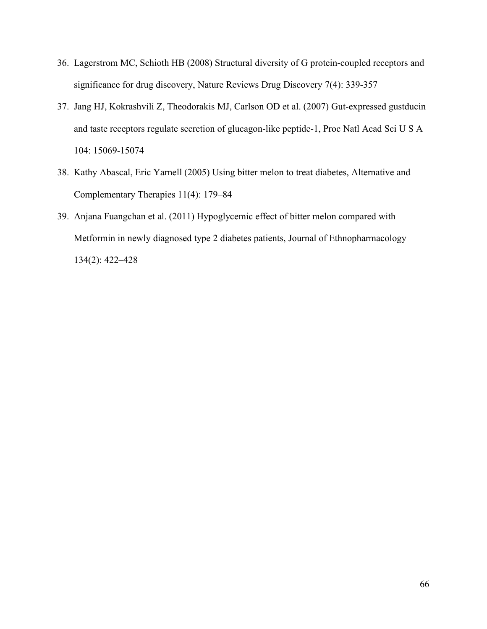- 36. Lagerstrom MC, Schioth HB (2008) Structural diversity of G protein-coupled receptors and significance for drug discovery, Nature Reviews Drug Discovery 7(4): 339-357
- 37. Jang HJ, Kokrashvili Z, Theodorakis MJ, Carlson OD et al. (2007) Gut-expressed gustducin and taste receptors regulate secretion of glucagon-like peptide-1, Proc Natl Acad Sci U S A 104: 15069-15074
- 38. Kathy Abascal, Eric Yarnell (2005) Using bitter melon to treat diabetes, Alternative and Complementary Therapies 11(4): 179–84
- 39. Anjana Fuangchan et al. (2011) Hypoglycemic effect of bitter melon compared with Metformin in newly diagnosed type 2 diabetes patients, Journal of Ethnopharmacology 134(2): 422–428